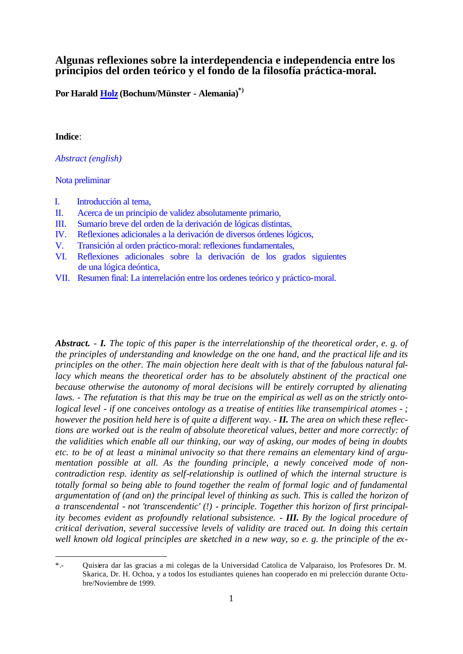# **Algunas reflexiones sobre la interdependencia e independencia entre los principios del orden teórico y el fondo de la filosofía práctica-moral.**

**Po[r Harald Holz \(](http://phaidon.philo.at/asp/hholz.htm#ll)Bochum/Münster - Alemania)\*)**

### **Indice**:

l

*Abstract (english)*

#### [Nota preliminar](#page-1-0)

- I. [Introducción al tema,](#page-2-0)
- II. [Acerca de un principio de validez absolutamente primario,](#page-5-0)
- III. [Sumario breve del orden de la derivación de lógicas distintas,](#page-9-0)
- IV. [Reflexiones adicionales a la derivación de diversos órdenes lógicos,](#page-13-0)
- V. [Transición al orden práctico-moral: reflexiones fundamentales,](#page-15-0)
- VI. [Reflexiones adicionales sobre la derivación de los grados siguientes](#page-19-0) de una lógica deóntica,
- VII. [Resumen final: La interrelación entre los ordenes teórico y práctico-moral.](#page-23-0)

*Abstract. - I. The topic of this paper is the interrelationship of the theoretical order, e. g. of the principles of understanding and knowledge on the one hand, and the practical life and its principles on the other. The main objection here dealt with is that of the fabulous natural fal*lacy which means the theoretical order has to be absolutely abstinent of the practical one *because otherwise the autonomy of moral decisions will be entirely corrupted by alienating laws. - The refutation is that this may be true on the empirical as well as on the strictly ontological level - if one conceives ontology as a treatise of entities like transempirical atomes - ; however the position held here is of quite a different way. - II. The area on which these reflections are worked out is the realm of absolute theoretical values, better and more correctly: of the validities which enable all our thinking, our way of asking, our modes of being in doubts etc. to be of at least a minimal univocity so that there remains an elementary kind of argumentation possible at all. As the founding principle, a newly conceived mode of noncontradiction resp. identity as self-relationship is outlined of which the internal structure is totally formal so being able to found together the realm of formal logic and of fundamental*  argumentation of (and on) the principal level of thinking as such. This is called the horizon of *a transcendental - not 'transcendentic' (!) - principle. Together this horizon of first principality becomes evident as profoundly relational subsistence. - III. By the logical procedure of critical derivation, several successive levels of validity are traced out. In doing this certain well known old logical principles are sketched in a new way, so e. g. the principle of the ex-*

<sup>\*.-</sup> Quisiera dar las gracias a mi colegas de la Universidad Catolica de Valparaiso, los Profesores Dr. M. Skarica, Dr. H. Ochoa, y a todos los estudiantes quienes han cooperado en mi prelección durante Octubre/Noviembre de 1999.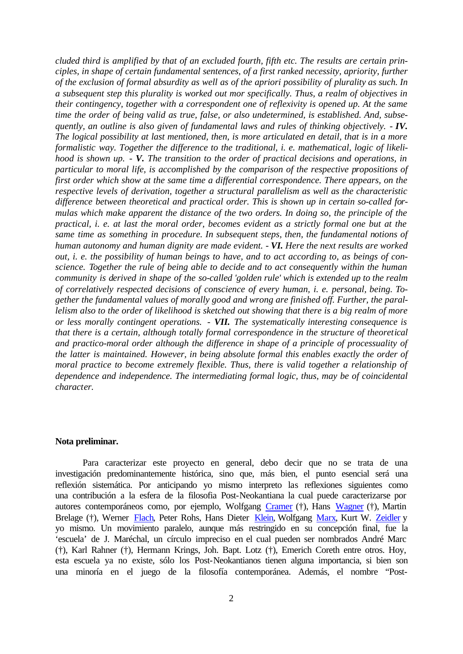<span id="page-1-0"></span>*cluded third is amplified by that of an excluded fourth, fifth etc. The results are certain principles, in shape of certain fundamental sentences, of a first ranked necessity, apriority, further of the exclusion of formal absurdity as well as of the apriori possibility of plurality as such. In a subsequent step this plurality is worked out mor specifically. Thus, a realm of objectives in their contingency, together with a correspondent one of reflexivity is opened up. At the same time the order of being valid as true, false, or also undetermined, is established. And, subsequently, an outline is also given of fundamental laws and rules of thinking objectively. - IV. The logical possibility at last mentioned, then, is more articulated en detail, that is in a more formalistic way. Together the difference to the traditional, i. e. mathematical, logic of likelihood is shown up. - V. The transition to the order of practical decisions and operations, in particular to moral life, is accomplished by the comparison of the respective propositions of first order which show at the same time a differential correspondence. There appears, on the respective levels of derivation, together a structural parallelism as well as the characteristic difference between theoretical and practical order. This is shown up in certain so-called for*mulas which make apparent the distance of the two orders. In doing so, the principle of the *practical, i. e. at last the moral order, becomes evident as a strictly formal one but at the same time as something in procedure. In subsequent steps, then, the fundamental notions of human autonomy and human dignity are made evident. - VI. Here the next results are worked out, i. e. the possibility of human beings to have, and to act according to, as beings of conscience. Together the rule of being able to decide and to act consequently within the human community is derived in shape of the so-called 'golden rule' which is extended up to the realm of correlatively respected decisions of conscience of every human, i. e. personal, being. Together the fundamental values of morally good and wrong are finished off. Further, the parallelism also to the order of likelihood is sketched out showing that there is a big realm of more or less morally contingent operations. - VII. The systematically interesting consequence is that there is a certain, although totally formal correspondence in the structure of theoretical*  and practico-moral order although the difference in shape of a principle of processuality of *the latter is maintained. However, in being absolute formal this enables exactly the order of moral practice to become extremely flexible. Thus, there is valid together a relationship of dependence and independence. The intermediating formal logic, thus, may be of coincidental character.* 

### **Nota preliminar.**

Para caracterizar este proyecto en general, debo decir que no se trata de una investigación predominantemente histórica, sino que, más bien, el punto esencial será una reflexión sistemática. Por anticipando yo mismo interpreto las reflexiones siguientes como una contribución a la esfera de la filosofia Post-Neokantiana la cual puede caracterizarse por autores contemporáneos como, por ejemplo, Wolfgang [Cramer \(](http://phaidon.philo.at/asp/wcramer.htm#ll)†), Hans [Wagner \(](http://phaidon.philo.at/asp/wagner.htm#ll)†), Martin Brelage (†), Werne[r Flach, P](http://phaidon.philo.at/asp/flach.htm#ll)eter Rohs, Hans Diete[r Klein, W](http://phaidon.philo.at/asp/hdklein.htm#ll)olfgan[g Marx, K](http://phaidon.philo.at/asp/wmarx.htm#ll)urt W[. Zeidler y](http://phaidon.philo.at/asp/zeidler.htm#ll) yo mismo. Un movimiento paralelo, aunque más restringido en su concepción final, fue la 'escuela' de J. Maréchal, un círculo impreciso en el cual pueden ser nombrados André Marc (†), Karl Rahner (†), Hermann Krings, Joh. Bapt. Lotz (†), Emerich Coreth entre otros. Hoy, esta escuela ya no existe, sólo los Post-Neokantianos tienen alguna importancia, si bien son una minoría en el juego de la filosofía contemporánea. Además, el nombre "Post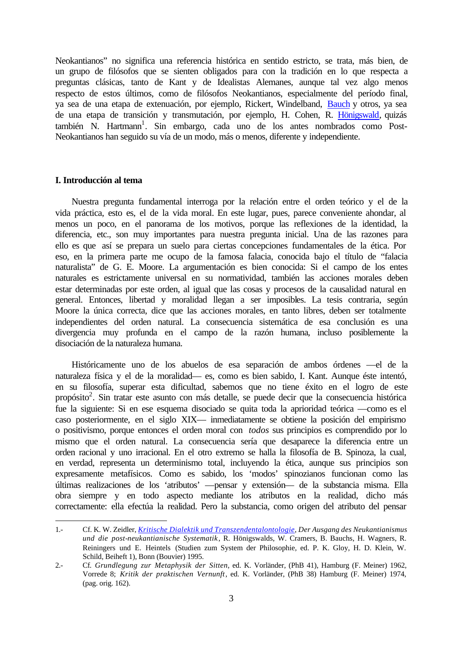<span id="page-2-0"></span>Neokantianos" no significa una referencia histórica en sentido estricto, se trata, más bien, de un grupo de filósofos que se sienten obligados para con la tradición en lo que respecta a preguntas clásicas, tanto de Kant y de Idealistas Alemanes, aunque tal vez algo menos respecto de estos últimos, como de filósofos Neokantianos, especialmente del período final, ya sea de una etapa de extenuación, por ejemplo, Rickert, Windelband[, Bauch y](http://phaidon.philo.at/asp/bbauch.htm#ll) otros, ya sea de una etapa de transición y transmutación, por ejemplo, H. Cohen, R. [Hönigswald, q](http://phaidon.philo.at/asp/rhonigswald.htm#ll)uizás también N. Hartmann<sup>1</sup>. Sin embargo, cada uno de los antes nombrados como Post-Neokantianos han seguido su vía de un modo, más o menos, diferente y independiente.

#### **I. Introducción al tema**

l

Nuestra pregunta fundamental interroga por la relación entre el orden teórico y el de la vida práctica, esto es, el de la vida moral. En este lugar, pues, parece conveniente ahondar, al menos un poco, en el panorama de los motivos, porque las reflexiones de la identidad, la diferencia, etc., son muy importantes para nuestra pregunta inicial. Una de las razones para ello es que así se prepara un suelo para ciertas concepciones fundamentales de la ética. Por eso, en la primera parte me ocupo de la famosa falacia, conocida bajo el título de "falacia naturalista" de G. E. Moore. La argumentación es bien conocida: Si el campo de los entes naturales es estrictamente universal en su normatividad, también las acciones morales deben estar determinadas por este orden, al igual que las cosas y procesos de la causalidad natural en general. Entonces, libertad y moralidad llegan a ser imposibles. La tesis contraria, según Moore la única correcta, dice que las acciones morales, en tanto libres, deben ser totalmente independientes del orden natural. La consecuencia sistemática de esa conclusión es una divergencia muy profunda en el campo de la razón humana, incluso posiblemente la disociación de la naturaleza humana.

Históricamente uno de los abuelos de esa separación de ambos órdenes —el de la naturaleza física y el de la moralidad— es, como es bien sabido, I. Kant. Aunque éste intentó, en su filosofía, superar esta dificultad, sabemos que no tiene éxito en el logro de este propósito<sup>2</sup>. Sin tratar este asunto con más detalle, se puede decir que la consecuencia histórica fue la siguiente: Si en ese esquema disociado se quita toda la aprioridad teórica —como es el caso posteriormente, en el siglo XIX— inmediatamente se obtiene la posición del empirismo o positivismo, porque entonces el orden moral con *todos* sus principios es comprendido por lo mismo que el orden natural. La consecuencia sería que desaparece la diferencia entre un orden racional y uno irracional. En el otro extremo se halla la filosofía de B. Spinoza, la cual, en verdad, representa un determinismo total, incluyendo la ética, aunque sus principios son expresamente metafísicos. Como es sabido, los 'modos' spinozianos funcionan como las últimas realizaciones de los 'atributos' —pensar y extensión— de la substancia misma. Ella obra siempre y en todo aspecto mediante los atributos en la realidad, dicho más correctamente: ella efectúa la realidad. Pero la substancia, como origen del atributo del pensar

<sup>1.-</sup> Cf. K. W. Zeidler, *[Kritische Dialektik und Transzendentalontologie, D](http://phaidon.philo.at/asp/studien.htm#kdt)er Ausgang des Neukantianismus und die post-neukantianische Systematik*, R. Hönigswalds, W. Cramers, B. Bauchs, H. Wagners, R. Reiningers und E. Heintels (Studien zum System der Philosophie, ed. P. K. Gloy, H. D. Klein, W. Schild, Beiheft 1), Bonn (Bouvier) 1995.

<sup>2.-</sup> Cf. *Grundlegung zur Metaphysik der Sitten*, ed. K. Vorländer, (PhB 41), Hamburg (F. Meiner) 1962, Vorrede 8; *Kritik der praktischen Vernunft*, ed. K. Vorländer, (PhB 38) Hamburg (F. Meiner) 1974, (pag. orig. 162).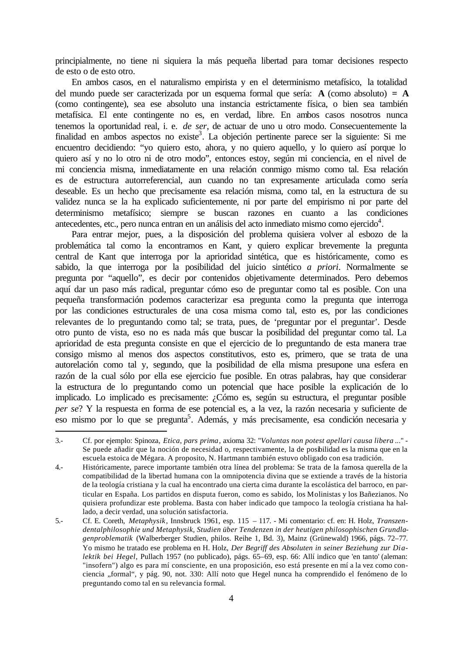principialmente, no tiene ni siquiera la más pequeña libertad para tomar decisiones respecto de esto o de esto otro.

En ambos casos, en el naturalismo empirista y en el determinismo metafísico, la totalidad del mundo puede ser caracterizada por un esquema formal que sería: **A** (como absoluto) **= A** (como contingente), sea ese absoluto una instancia estrictamente física, o bien sea también metafísica. El ente contingente no es, en verdad, libre. En ambos casos nosotros nunca tenemos la oportunidad real, i. e. *de ser*, de actuar de uno u otro modo. Consecuentemente la finalidad en ambos aspectos no existe<sup>3</sup>. La objeción pertinente parece ser la siguiente: Si me encuentro decidiendo: "yo quiero esto, ahora, y no quiero aquello, y lo quiero así porque lo quiero así y no lo otro ni de otro modo", entonces estoy, según mi conciencia, en el nivel de mi conciencia misma, inmediatamente en una relación conmigo mismo como tal. Esa relación es de estructura autorreferencial, aun cuando no tan expresamente articulada como sería deseable. Es un hecho que precisamente esa relación misma, como tal, en la estructura de su validez nunca se la ha explicado suficientemente, ni por parte del empirismo ni por parte del determinismo metafísico; siempre se buscan razones en cuanto a las condiciones antecedentes, etc., pero nunca entran en un análisis del acto inmediato mismo como ejercido $4$ .

Para entrar mejor, pues, a la disposición del problema quisiera volver al esbozo de la problemática tal como la encontramos en Kant, y quiero explicar brevemente la pregunta central de Kant que interroga por la aprioridad sintética, que es históricamente, como es sabido, la que interroga por la posibilidad del juicio sintético *a priori*. Normalmente se pregunta por "aquello", es decir por contenidos objetivamente determinados. Pero debemos aquí dar un paso más radical, preguntar cómo eso de preguntar como tal es posible. Con una pequeña transformación podemos caracterizar esa pregunta como la pregunta que interroga por las condiciones estructurales de una cosa misma como tal, esto es, por las condiciones relevantes de lo preguntando como tal; se trata, pues, de 'preguntar por el preguntar'. Desde otro punto de vista, eso no es nada más que buscar la posibilidad del preguntar como tal. La aprioridad de esta pregunta consiste en que el ejercicio de lo preguntando de esta manera trae consigo mismo al menos dos aspectos constitutivos, esto es, primero, que se trata de una autorelación como tal y, segundo, que la posibilidad de ella misma presupone una esfera en razón de la cual sólo por ella ese ejercicio fue posible. En otras palabras, hay que considerar la estructura de lo preguntando como un potencial que hace posible la explicación de lo implicado. Lo implicado es precisamente: ¿Cómo es, según su estructura, el preguntar posible *per se*? Y la respuesta en forma de ese potencial es, a la vez, la razón necesaria y suficiente de eso mismo por lo que se pregunta<sup>5</sup>. Además, y más precisamente, esa condición necesaria y

<sup>3.-</sup> Cf. por ejemplo: Spinoza, *Etica*, *pars prima*, axioma 32: "*Voluntas non potest apellari causa libera* ..." - Se puede añadir que la noción de necesidad o, respectivamente, la de posibilidad es la misma que en la escuela estoica de Mégara. A proposito, N. Hartmann también estuvo obligado con esa tradición.

<sup>4.-</sup> Históricamente, parece importante también otra línea del problema: Se trata de la famosa querella de la compatibilidad de la libertad humana con la omnipotencia divina que se extiende a través de la historia de la teología cristiana y la cual ha encontrado una cierta cima durante la escolástica del barroco, en particular en España. Los partidos en disputa fueron, como es sabido, los Molinistas y los Bañezianos. No quisiera profundizar este problema. Basta con haber indicado que tampoco la teología cristiana ha hallado, a decir verdad, una solución satisfactoria.

<sup>5.-</sup> Cf. E. Coreth, *Metaphysik*, Innsbruck 1961, esp. 115 – 117. - Mi comentario: cf. en: H. Holz, *Transzendentalphilosophie und Metaphysik, Studien über Tendenzen in der heutigen philosophischen Grundlagenproblematik* (Walberberger Studien, philos. Reihe 1, Bd. 3), Mainz (Grünewald) 1966, págs. 72–77. Yo mismo he tratado ese problema en H. Holz, *Der Begriff des Absoluten in seiner Beziehung zur Dialektik bei Hegel*, Pullach 1957 (no publicado), págs. 65–69, esp. 66: Allí indico que 'en tanto' (aleman: "insofern") algo es para mí consciente, en una proposición, eso está presente en mí a la vez como conciencia "formal", y pág. 90, not. 330: Allí noto que Hegel nunca ha comprendido el fenómeno de lo preguntando como tal en su relevancia formal.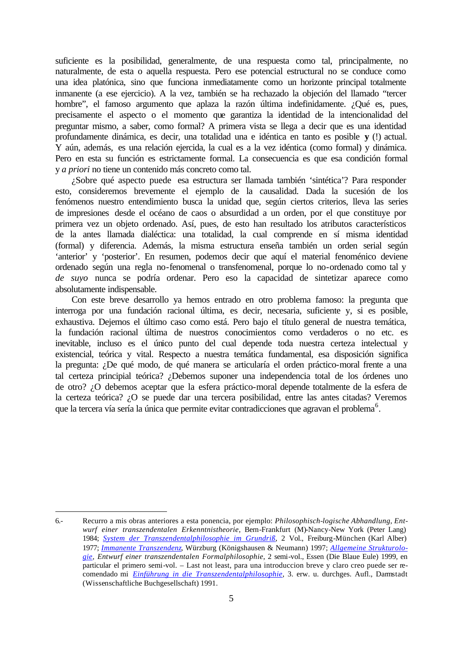suficiente es la posibilidad, generalmente, de una respuesta como tal, principalmente, no naturalmente, de esta o aquella respuesta. Pero ese potencial estructural no se conduce como una idea platónica, sino que funciona inmediatamente como un horizonte principal totalmente inmanente (a ese ejercicio). A la vez, también se ha rechazado la objeción del llamado "tercer hombre", el famoso argumento que aplaza la razón última indefinidamente. ¿Qué es, pues, precisamente el aspecto o el momento que garantiza la identidad de la intencionalidad del preguntar mismo, a saber, como formal? A primera vista se llega a decir que es una identidad profundamente dinámica, es decir, una totalidad una e idéntica en tanto es posible **y** (!) actual. Y aún, además, es una relación ejercida, la cual es a la vez idéntica (como formal) y dinámica. Pero en esta su función es estrictamente formal. La consecuencia es que esa condición formal y *a priori* no tiene un contenido más concreto como tal.

¿Sobre qué aspecto puede esa estructura ser llamada también 'sintética'? Para responder esto, consideremos brevemente el ejemplo de la causalidad. Dada la sucesión de los fenómenos nuestro entendimiento busca la unidad que, según ciertos criterios, lleva las series de impresiones desde el océano de caos o absurdidad a un orden, por el que constituye por primera vez un objeto ordenado. Así, pues, de esto han resultado los atributos característicos de la antes llamada dialéctica: una totalidad, la cual comprende en sí misma identidad (formal) y diferencia. Además, la misma estructura enseña también un orden serial según 'anterior' y 'posterior'. En resumen, podemos decir que aquí el material fenoménico deviene ordenado según una regla no-fenomenal o transfenomenal, porque lo no-ordenado como tal y *de suyo* nunca se podría ordenar. Pero eso la capacidad de sintetizar aparece como absolutamente indispensable.

Con este breve desarrollo ya hemos entrado en otro problema famoso: la pregunta que interroga por una fundación racional última, es decir, necesaria, suficiente y, si es posible, exhaustiva. Dejemos el último caso como está. Pero bajo el título general de nuestra temática, la fundación racional última de nuestros conocimientos como verdaderos o no etc. es inevitable, incluso es el único punto del cual depende toda nuestra certeza intelectual y existencial, teórica y vital. Respecto a nuestra temática fundamental, esa disposición significa la pregunta: ¿De qué modo, de qué manera se articularía el orden práctico-moral frente a una tal certeza principial teórica? ¿Debemos suponer una independencia total de los órdenes uno de otro? ¿O debemos aceptar que la esfera práctico-moral depende totalmente de la esfera de la certeza teórica? ¿O se puede dar una tercera posibilidad, entre las antes citadas? Veremos que la tercera vía sería la única que permite evitar contradicciones que agravan el problema $^6$ .

<sup>6.-</sup> Recurro a mis obras anteriores a esta ponencia, por ejemplo: *Philosophisch-logische Abhandlung, Entwurf einer transzendentalen Erkenntnistheorie*, Bern-Frankfurt (M)-Nancy-New York (Peter Lang) 1984; *[System der Transzendentalphilosophie im Grundriß](http://phaidon.philo.at/asp/hholz2.htm#sdtig)*, 2 Vol., Freiburg-München (Karl Alber) 1977; *[Immanente Transzendenz](http://phaidon.philo.at/asp/hholz3.htm#imtr)*, Würzburg (Königshausen & Neumann) 1997; *[Allgemeine Strukturolo](http://phaidon.philo.at/asp/hholz2.htm#allgstruk)[gie,](http://phaidon.philo.at/asp/hholz2.htm#allgstruk) Entwurf einer transzendentalen Formalphilosophie*, 2 semi-vol., Essen (Die Blaue Eule) 1999, en particular el primero semi-vol. – Last not least, para una introduccion breve y claro creo puede ser recomendado mi *[Einführung in die Transzendentalphilosophie](http://phaidon.philo.at/asp/hholz2.htm#einf)*, 3. erw. u. durchges. Aufl., Darmstadt (Wissenschaftliche Buchgesellschaft) 1991.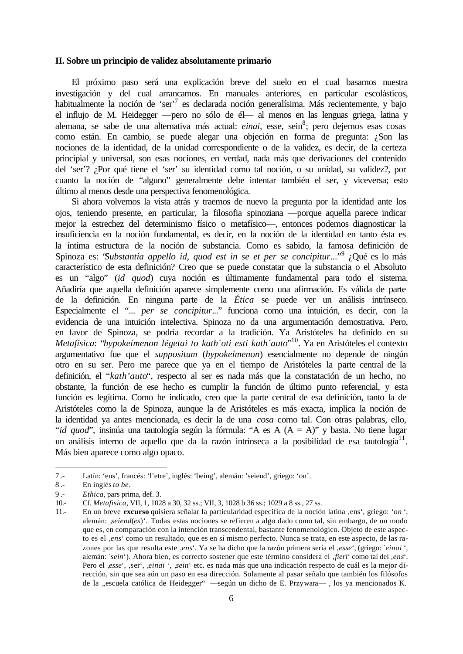#### <span id="page-5-0"></span>**II. Sobre un principio de validez absolutamente primario**

El próximo paso será una explicación breve del suelo en el cual basamos nuestra investigación y del cual arrancamos. En manuales anteriores, en particular escolásticos, habitualmente la noción de 'ser'<sup>7</sup> es declarada noción generalísima. Más recientemente, y bajo el influjo de M. Heidegger —pero no sólo de él— al menos en las lenguas griega, latina y alemana, se sabe de una alternativa más actual: *einai*, esse, sein<sup>8</sup>; pero dejemos esas cosas como están. En cambio, se puede alegar una objeción en forma de pregunta: ¿Son las nociones de la identidad, de la unidad correspondiente o de la validez, es decir, de la certeza principial y universal, son esas nociones, en verdad, nada más que derivaciones del contenido del 'ser'? ¿Por qué tiene el 'ser' su identidad como tal noción, o su unidad, su validez?, por cuanto la noción de "alguno" generalmente debe intentar también el ser, y viceversa; esto último al menos desde una perspectiva fenomenológica.

Si ahora volvemos la vista atrás y traemos de nuevo la pregunta por la identidad ante los ojos, teniendo presente, en particular, la filosofia spinoziana —porque aquella parece indicar mejor la estrechez del determinismo físico o metafísico—, entonces podemos diagnosticar la insuficiencia en la noción fundamental, es decir, en la noción de la identidad en tanto ésta es la íntima estructura de la noción de substancia. Como es sabido, la famosa definición de Spinoza es: *'Substantia appello id, quod est in se et per se concipitur...'<sup>,9</sup> ¿Qué es lo más* característico de esta definición? Creo que se puede constatar que la substancia o el Absoluto es un "algo" (*id quod*) cuya noción es últimamente fundamental para todo el sistema. Añadiría que aquella definición aparece simplemente como una afirmación. Es válida de parte de la definición. En ninguna parte de la *Ética* se puede ver un análisis intrínseco. Especialmente el "... *per se concipitur*..." funciona como una intuición, es decir, con la evidencia de una intuición intelectiva. Spinoza no da una argumentación demostrativa. Pero, en favor de Spinoza, se podría recordar a la tradición. Ya Aristóteles ha definido en su *Metafísica*: "*hypokeímenon légetai to kath´oti esti kath´auto*" <sup>10</sup>. Ya en Aristóteles el contexto argumentativo fue que el *suppositum* (*hypokeímenon*) esencialmente no depende de ningún otro en su ser. Pero me parece que ya en el tiempo de Aristóteles la parte central de la definición, el "*kath'auto*", respecto al ser es nada más que la constatación de un hecho, no obstante, la función de ese hecho es cumplir la función de último punto referencial, y esta función es legítima. Como he indicado, creo que la parte central de esa definición, tanto la de Aristóteles como la de Spinoza, aunque la de Aristóteles es más exacta, implica la noción de la identidad ya antes mencionada, es decir la de una *cosa* como tal. Con otras palabras, ello, "*id quod*", insinúa una tautología según la fórmula: "A es A (A = A)" y basta. No tiene lugar un análisis interno de aquello que da la razón intrínseca a la posibilidad de esa tautología $^{11}$ . Más bien aparece como algo opaco.

<sup>7 .-</sup> Latín: 'ens', francés: 'l'etre', inglés: 'being', alemán: 'seiend', griego: 'on'.

<sup>8 .-</sup> En inglés *to be*.

<sup>9 .-</sup> *Ethica*, pars prima, def. 3.

<sup>10.-</sup> Cf. *Metafisica*, VII, 1, 1028 a 30, 32 ss.; VII, 3, 1028 b 36 ss.; 1029 a 8 ss., 27 ss.

<sup>11.-</sup> En un breve **excurso** quisiera señalar la particularidad especifica de la noción latina 'ens', griego: '*on* ', alemán: '*seiend*(*es*)'. Todas estas nociones se refieren a algo dado como tal, sin embargo, de un modo que es, en comparación con la intención transcendental, bastante fenomenológico. Objeto de este aspecto es el '*ens*' como un resultado, que es en sí mismo perfecto. Nunca se trata, en este aspecto, de las razones por las que resulta este ,ens<sup>'</sup>. Ya se ha dicho que la razón primera sería el ,esse<sup>'</sup>, (griego: `*einai* ', alemán: ´*sein*'). Ahora bien, es correcto sostener que este término considera el '*fieri*' como tal del '*ens*'. Pero el <sub>'esse</sub>', 'ser', 'einai', 'sein' etc. es nada más que una indicación respecto de cuál es la mejor dirección, sin que sea aún un paso en esa dirección. Solamente al pasar señalo que también los filósofos de la "escuela católica de Heidegger" —según un dicho de E. Przywara— , los ya mencionados K.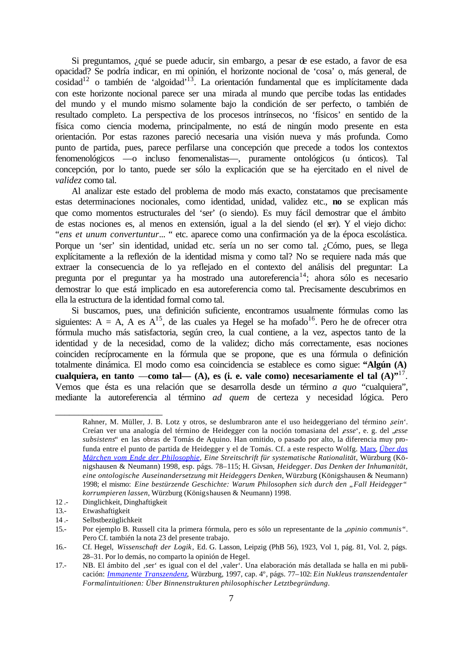Si preguntamos, ¿qué se puede aducir, sin embargo, a pesar de ese estado, a favor de esa opacidad? Se podría indicar, en mi opinión, el horizonte nocional de 'cosa' o, más general, de  $\text{cosidad}^{12}$  o también de 'algoidad'<sup>13</sup>. La orientación fundamental que es implícitamente dada con este horizonte nocional parece ser una mirada al mundo que percibe todas las entidades del mundo y el mundo mismo solamente bajo la condición de ser perfecto, o también de resultado completo. La perspectiva de los procesos intrínsecos, no 'físicos' en sentido de la física como ciencia moderna, principalmente, no está de ningún modo presente en esta orientación. Por estas razones pareció necesaria una visión nueva y más profunda. Como punto de partida, pues, parece perfilarse una concepción que precede a todos los contextos fenomenológicos —o incluso fenomenalistas—, puramente ontológicos (u ónticos). Tal concepción, por lo tanto, puede ser sólo la explicación que se ha ejercitado en el nivel de *validez* como tal.

Al analizar este estado del problema de modo más exacto, constatamos que precisamente estas determinaciones nocionales, como identidad, unidad, validez etc., **no** se explican más que como momentos estructurales del 'ser' (o siendo). Es muy fácil demostrar que el ámbito de estas nociones es, al menos en extensión, igual a la del siendo (el ser). Y el viejo dicho: "*ens et unum convertuntur*... " etc. aparece como una confirmación ya de la época escolástica. Porque un 'ser' sin identidad, unidad etc. sería un no ser como tal. ¿Cómo, pues, se llega explícitamente a la reflexión de la identidad misma y como tal? No se requiere nada más que extraer la consecuencia de lo ya reflejado en el contexto del análisis del preguntar: La pregunta por el preguntar ya ha mostrado una autoreferencia<sup>14</sup>; ahora sólo es necesario demostrar lo que está implicado en esa autoreferencia como tal. Precisamente descubrimos en ella la estructura de la identidad formal como tal.

Si buscamos, pues, una definición suficiente, encontramos usualmente fórmulas como las siguientes:  $A = A$ ,  $\overline{A}$  es  $A^{15}$ , de las cuales ya Hegel se ha mofado<sup>16</sup>. Pero he de ofrecer otra fórmula mucho más satisfactoria, según creo, la cual contiene, a la vez, aspectos tanto de la identidad y de la necesidad, como de la validez; dicho más correctamente, esas nociones coinciden recíprocamente en la fórmula que se propone, que es una fórmula o definición totalmente dinámica. El modo como esa coincidencia se establece es como sigue: **"Algún (A) cualquiera, en tanto** —**como tal— (A), es (i. e. vale como) necesariamente el tal (A)"**<sup>17</sup> . Vemos que ésta es una relación que se desarrolla desde un término *a quo* "cualquiera", mediante la autoreferencia al término *ad quem* de certeza y necesidad lógica. Pero

\_\_\_\_\_\_\_\_\_\_\_\_\_\_\_\_\_\_\_\_\_\_\_

Rahner, M. Müller, J. B. Lotz y otros, se deslumbraron ante el uso heideggeriano del término *sein'*. Creían ver una analogía del término de Heidegger con la noción tomasiana del '*esse*', e. g. del "*esse subsistens*" en las obras de Tomás de Aquino. Han omitido, o pasado por alto, la diferencia muy profunda entre el punto de partida de Heidegger y el de Tomás. Cf. a este respecto [Wolfg. Marx,](http://phaidon.philo.at/asp/wmarx.htm#ll) *[Über das](http://phaidon.philo.at/asp/wmarx2.htm#maerchen)  [Märchen vom Ende der Philosophie, E](http://phaidon.philo.at/asp/wmarx2.htm#maerchen)ine Streitschrift für systematische Rationalität*, Würzburg (Königshausen & Neumann) 1998, esp. págs. 78–115; H. Givsan, *Heidegger. Das Denken der Inhumanität, eine ontologische Auseinandersetzung mit Heideggers Denken*, Würzburg (Königshausen & Neumann) 1998; el mismo: *Eine bestürzende Geschichte: Warum Philosophen sich durch den "Fall Heidegger" korrumpieren lassen*, Würzburg (Königshausen & Neumann) 1998.

<sup>12 .-</sup> Dinglichkeit, Dinghaftigkeit

<sup>13.-</sup> Etwashaftigkeit

<sup>14 .-</sup> Selbstbezüglichkeit

<sup>15.-</sup> Por ejemplo B. Russell cita la primera fórmula, pero es sólo un representante de la *<sub><i>opinio communis*".</sub> Pero Cf. también la nota 23 del presente trabajo.

<sup>16.-</sup> Cf. Hegel, *Wissenschaft der Logik*, Ed. G. Lasson, Leipzig (PhB 56), 1923, Vol 1, pág. 81, Vol. 2, págs. 28–31. Por lo demás, no comparto la opinión de Hegel.

<sup>17.-</sup> NB. El ámbito del ,ser es igual con el del ,valer ! Una elaboración más detallada se halla en mi publicación: *[Immanente Transzendenz,](http://phaidon.philo.at/asp/hholz3.htm#imtr)* Würzburg, 1997, cap. 4º, págs. 77–102: *Ein Nukleus transzendentaler Formalintuitionen: Über Binnenstrukturen philosophischer Letztbegründung*.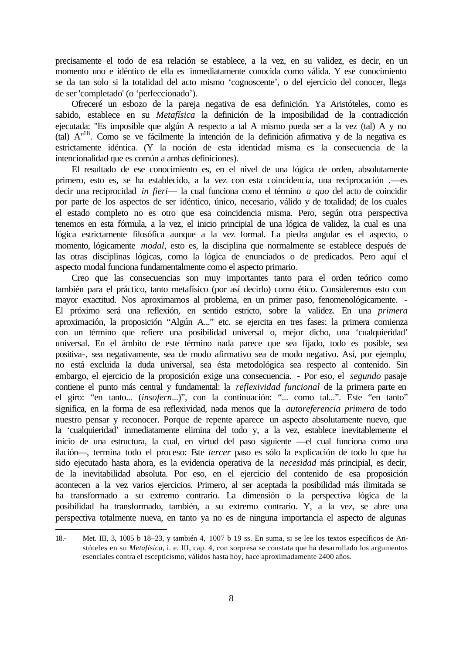precisamente el todo de esa relación se establece, a la vez, en su validez, es decir, en un momento uno e idéntico de ella es inmediatamente conocida como válida. Y ese conocimiento se da tan solo si la totalidad del acto mismo 'cognoscente', o del ejercicio del conocer, llega de ser 'completado' (o 'perfeccionado').

Ofreceré un esbozo de la pareja negativa de esa definición. Ya Aristóteles, como es sabido, establece en su *Metafísica* la definición de la imposibilidad de la contradicción ejecutada: "Es imposible que algún A respecto a tal A mismo pueda ser a la vez (tal) A y no (tal) A"<sup>18</sup>. Como se ve fácilmente la intención de la definición afirmativa y de la negativa es estrictamente idéntica. (Y la noción de esta identidad misma es la consecuencia de la intencionalidad que es común a ambas definiciones).

El resultado de ese conocimiento es, en el nivel de una lógica de orden, absolutamente primero, esto es, se ha establecido, a la vez con esta coincidencia, una reciprocación .—es decir una reciprocidad *in fieri*— la cual funciona como el término *a quo* del acto de coincidir por parte de los aspectos de ser idéntico, único, necesario, válido y de totalidad; de los cuales el estado completo no es otro que esa coincidencia misma. Pero, según otra perspectiva tenemos en esta fórmula, a la vez, el inicio principial de una lógica de validez, la cual es una lógica estrictamente filosófica aunque a la vez formal. La piedra angular es el aspecto, o momento, lógicamente *modal*, esto es, la disciplina que normalmente se establece después de las otras disciplinas lógicas, como la lógica de enunciados o de predicados. Pero aquí el aspecto modal funciona fundamentalmente como el aspecto primario.

Creo que las consecuencias son muy importantes tanto para el orden teórico como también para el práctico, tanto metafísico (por así decirlo) como ético. Consideremos esto con mayor exactitud. Nos aproximamos al problema, en un primer paso, fenomenológicamente. - El próximo será una reflexión, en sentido estricto, sobre la validez. En una *primera* aproximación, la proposición "Algún A..." etc. se ejercita en tres fases: la primera comienza con un término que refiere una posibilidad universal o, mejor dicho, una 'cualquieridad' universal. En el ámbito de este término nada parece que sea fijado, todo es posible, sea positiva-, sea negativamente, sea de modo afirmativo sea de modo negativo. Así, por ejemplo, no está excluida la duda universal, sea ésta metodológica sea respecto al contenido. Sin embargo, el ejercicio de la proposición exige una consecuencia. - Por eso, el *segundo* pasaje contiene el punto más central y fundamental: la *reflexividad funcional* de la primera parte en el giro: "en tanto... (*insofern*...)", con la continuación: "... como tal...". Este "en tanto" significa, en la forma de esa reflexividad, nada menos que la *autoreferencia primera* de todo nuestro pensar y reconocer. Porque de repente aparece un aspecto absolutamente nuevo, que la 'cualquieridad' inmediatamente elimina del todo y, a la vez, establece inevitablemente el inicio de una estructura, la cual, en virtud del paso siguiente —el cual funciona como una ilación—, termina todo el proceso: Este *tercer* paso es sólo la explicación de todo lo que ha sido ejecutado hasta ahora, es la evidencia operativa de la *necesidad* más principial, es decir, de la inevitabilidad absoluta. Por eso, en el ejercicio del contenido de esa proposición acontecen a la vez varios ejercicios. Primero, al ser aceptada la posibilidad más ilimitada se ha transformado a su extremo contrario. La dimensión o la perspectiva lógica de la posibilidad ha transformado, también, a su extremo contrario. Y, a la vez, se abre una perspectiva totalmente nueva, en tanto ya no es de ninguna importancia el aspecto de algunas

<sup>18.-</sup> Met. III, 3, 1005 b 18–23, y también 4, 1007 b 19 ss. En suma, si se lee los textos específicos de Aristóteles en su *Metafísica*, i. e. III, cap. 4, con sorpresa se constata que ha desarrollado los argumentos esenciales contra el escepticismo, válidos hasta hoy, hace aproximadamente 2400 años.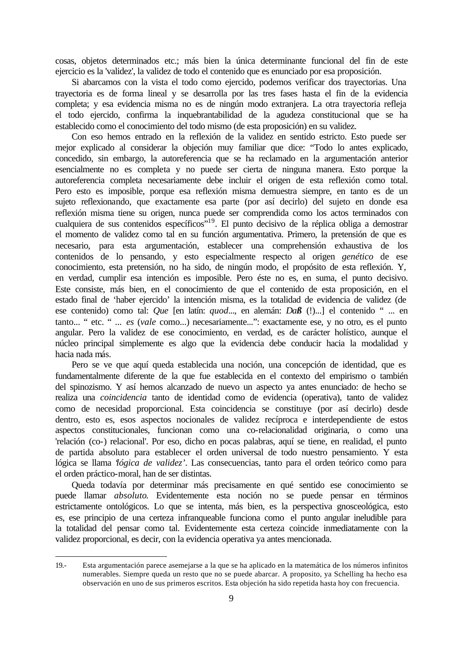cosas, objetos determinados etc.; más bien la única determinante funcional del fin de este ejercicio es la 'validez', la validez de todo el contenido que es enunciado por esa proposición.

Si abarcamos con la vista el todo como ejercido, podemos verificar dos trayectorias. Una trayectoria es de forma lineal y se desarrolla por las tres fases hasta el fin de la evidencia completa; y esa evidencia misma no es de ningún modo extranjera. La otra trayectoria refleja el todo ejercido, confirma la inquebrantabilidad de la agudeza constitucional que se ha establecido como el conocimiento del todo mismo (de esta proposición) en su validez.

Con eso hemos entrado en la reflexión de la validez en sentido estricto. Esto puede ser mejor explicado al considerar la objeción muy familiar que dice: "Todo lo antes explicado, concedido, sin embargo, la autoreferencia que se ha reclamado en la argumentación anterior esencialmente no es completa y no puede ser cierta de ninguna manera. Esto porque la autoreferencia completa necesariamente debe incluir el origen de esta reflexión como total. Pero esto es imposible, porque esa reflexión misma demuestra siempre, en tanto es de un sujeto reflexionando, que exactamente esa parte (por así decirlo) del sujeto en donde esa reflexión misma tiene su origen, nunca puede ser comprendida como los actos terminados con cualquiera de sus contenidos específicos<sup>"19</sup>. El punto decisivo de la réplica obliga a demostrar el momento de validez como tal en su función argumentativa. Primero, la pretensión de que es necesario, para esta argumentación, establecer una comprehensión exhaustiva de los contenidos de lo pensando, y esto especialmente respecto al origen *genético* de ese conocimiento, esta pretensión, no ha sido, de ningún modo, el propósito de esta reflexión. Y, en verdad, cumplir esa intención es imposible. Pero éste no es, en suma, el punto decisivo. Este consiste, más bien, en el conocimiento de que el contenido de esta proposición, en el estado final de 'haber ejercido' la intención misma, es la totalidad de evidencia de validez (de ese contenido) como tal: *Que* [en latín: *quod*..., en alemán: *Daß* (!)...] el contenido " ... en tanto... " etc. " ... *es* (*vale* como...) necesariamente...": exactamente ese, y no otro, es el punto angular. Pero la validez de ese conocimiento, en verdad, es de carácter holístico, aunque el núcleo principal simplemente es algo que la evidencia debe conducir hacia la modalidad y hacia nada más.

Pero se ve que aquí queda establecida una noción, una concepción de identidad, que es fundamentalmente diferente de la que fue establecida en el contexto del empirismo o también del spinozismo. Y así hemos alcanzado de nuevo un aspecto ya antes enunciado: de hecho se realiza una *coincidencia* tanto de identidad como de evidencia (operativa), tanto de validez como de necesidad proporcional. Esta coincidencia se constituye (por así decirlo) desde dentro, esto es, esos aspectos nocionales de validez recíproca e interdependiente de estos aspectos constitucionales, funcionan como una co-relacionalidad originaria, o como una 'relación (co-) relacional'. Por eso, dicho en pocas palabras, aquí se tiene, en realidad, el punto de partida absoluto para establecer el orden universal de todo nuestro pensamiento. Y esta lógica se llama '*lógica de validez'*. Las consecuencias, tanto para el orden teórico como para el orden práctico-moral, han de ser distintas.

Queda todavía por determinar más precisamente en qué sentido ese conocimiento se puede llamar *absoluto*. Evidentemente esta noción no se puede pensar en términos estrictamente ontológicos. Lo que se intenta, más bien, es la perspectiva gnosceológica, esto es, ese principio de una certeza infranqueable funciona como el punto angular ineludible para la totalidad del pensar como tal. Evidentemente esta certeza coincide inmediatamente con la validez proporcional, es decir, con la evidencia operativa ya antes mencionada.

<sup>19.-</sup> Esta argumentación parece asemejarse a la que se ha aplicado en la matemática de los números infinitos numerables. Siempre queda un resto que no se puede abarcar. A proposito, ya Schelling ha hecho esa observación en uno de sus primeros escritos. Esta objeción ha sido repetida hasta hoy con frecuencia.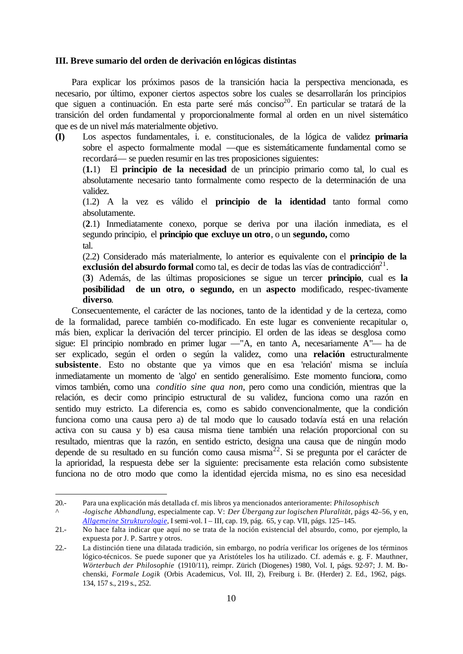### <span id="page-9-0"></span>**III. Breve sumario del orden de derivación en lógicas distintas**

Para explicar los próximos pasos de la transición hacia la perspectiva mencionada, es necesario, por último, exponer ciertos aspectos sobre los cuales se desarrollarán los principios que siguen a continuación. En esta parte seré más conciso<sup>20</sup>. En particular se tratará de la transición del orden fundamental y proporcionalmente formal al orden en un nivel sistemático que es de un nivel más materialmente objetivo.

**(I)** Los aspectos fundamentales, i. e. constitucionales, de la lógica de validez **primaria** sobre el aspecto formalmente modal —que es sistemáticamente fundamental como se recordará— se pueden resumir en las tres proposiciones siguientes:

(**1.**1) El **principio de la necesidad** de un principio primario como tal, lo cual es absolutamente necesario tanto formalmente como respecto de la determinación de una validez.

(1.2) A la vez es válido el **principio de la identidad** tanto formal como absolutamente.

(**2**.1) Inmediatamente conexo, porque se deriva por una ilación inmediata, es el segundo principio, el **principio que excluye un otro**, o un **segundo,** como tal.

(2.2) Considerado más materialmente, lo anterior es equivalente con el **principio de la**  exclusión del absurdo formal como tal, es decir de todas las vías de contradicción<sup>21</sup>.

(**3**) Además, de las últimas proposiciones se sigue un tercer **principio**, cual es **la posibilidad de un otro, o segundo,** en un **aspecto** modificado, respec-tivamente **diverso**.

Consecuentemente, el carácter de las nociones, tanto de la identidad y de la certeza, como de la formalidad, parece también co-modificado. En este lugar es conveniente recapitular o, más bien, explicar la derivación del tercer principio. El orden de las ideas se desglosa como sigue: El principio nombrado en primer lugar —"A, en tanto A, necesariamente A"— ha de ser explicado, según el orden o según la validez, como una **relación** estructuralmente **subsistente**. Esto no obstante que ya vimos que en esa 'relación' misma se incluía inmediatamente un momento de 'algo' en sentido generalísimo. Este momento funciona, como vimos también, como una *conditio sine qua non*, pero como una condición, mientras que la relación, es decir como principio estructural de su validez, funciona como una razón en sentido muy estricto. La diferencia es, como es sabido convencionalmente, que la condición funciona como una causa pero a) de tal modo que lo causado todavía está en una relación activa con su causa y b) esa causa misma tiene también una relación proporcional con su resultado, mientras que la razón, en sentido estricto, designa una causa que de ningún modo depende de su resultado en su función como causa misma $^{22}$ . Si se pregunta por el carácter de la aprioridad, la respuesta debe ser la siguiente: precisamente esta relación como subsistente funciona no de otro modo que como la identidad ejercida misma, no es sino esa necesidad

<sup>20.-</sup> Para una explicación más detallada cf. mis libros ya mencionados anterioramente: *Philosophisch ^ -logische Abhandlung*, especialmente cap. V: *Der Übergang zur logischen Pluralität*, págs 42–56, y en, *[Allgemeine Strukturologie](http://phaidon.philo.at/asp/hholz2.htm#allgstruk)*, I semi-vol. I – III, cap. 19, pág. 65, y cap. VII, págs. 125–145.

<sup>21.-</sup> No hace falta indicar que aquí no se trata de la noción existencial del absurdo, como, por ejemplo, la expuesta por J. P. Sartre y otros.

<sup>22.-</sup> La distinción tiene una dilatada tradición, sin embargo, no podría verificar los orígenes de los términos lógico-técnicos. Se puede suponer que ya Aristóteles los ha utilizado. Cf. además e. g. F. Mauthner, *Wörterbuch der Philosophie* (1910/11), reimpr. Zürich (Diogenes) 1980, Vol. I, págs. 92-97; J. M. Bochenski, *Formale Logik* (Orbis Academicus, Vol. III, 2), Freiburg i. Br. (Herder) 2. Ed., 1962, págs. 134, 157 s., 219 s., 252.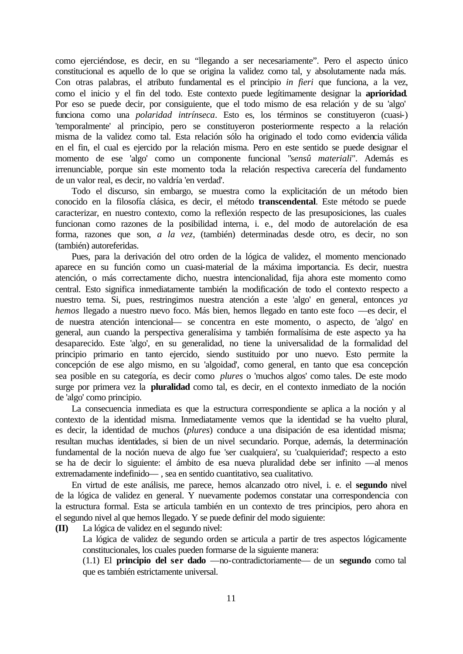como ejerciéndose, es decir, en su "llegando a ser necesariamente". Pero el aspecto único constitucional es aquello de lo que se origina la validez como tal, y absolutamente nada más. Con otras palabras, el atributo fundamental es el principio *in fieri* que funciona, a la vez, como el inicio y el fin del todo. Este contexto puede legítimamente designar la **aprioridad**. Por eso se puede decir, por consiguiente, que el todo mismo de esa relación y de su 'algo' funciona como una *polaridad intrínseca*. Esto es, los términos se constituyeron (cuasi-) 'temporalmente' al principio, pero se constituyeron posteriormente respecto a la relación misma de la validez como tal. Esta relación sólo ha originado el todo como evidencia válida en el fin, el cual es ejercido por la relación misma. Pero en este sentido se puede designar el momento de ese 'algo' como un componente funcional "*sensû materiali*". Además es irrenunciable, porque sin este momento toda la relación respectiva carecería del fundamento de un valor real, es decir, no valdría 'en verdad'.

Todo el discurso, sin embargo, se muestra como la explicitación de un método bien conocido en la filosofía clásica, es decir, el método **transcendental**. Este método se puede caracterizar, en nuestro contexto, como la reflexión respecto de las presuposiciones, las cuales funcionan como razones de la posibilidad interna, i. e., del modo de autorelación de esa forma, razones que son, *a la vez*, (también) determinadas desde otro, es decir, no son (también) autoreferidas.

Pues, para la derivación del otro orden de la lógica de validez, el momento mencionado aparece en su función como un cuasi-material de la máxima importancia. Es decir, nuestra atención, o más correctamente dicho, nuestra intencionalidad, fija ahora este momento como central. Esto significa inmediatamente también la modificación de todo el contexto respecto a nuestro tema. Si, pues, restringimos nuestra atención a este 'algo' en general, entonces *ya hemos* llegado a nuestro nuevo foco. Más bien, hemos llegado en tanto este foco —es decir, el de nuestra atención intencional— se concentra en este momento, o aspecto, de 'algo' en general, aun cuando la perspectiva generalísima y también formalísima de este aspecto ya ha desaparecido. Este 'algo', en su generalidad, no tiene la universalidad de la formalidad del principio primario en tanto ejercido, siendo sustituido por uno nuevo. Esto permite la concepción de ese algo mismo, en su 'algoidad', como general, en tanto que esa concepción sea posible en su categoría, es decir como *plures* o 'muchos algos' como tales. De este modo surge por primera vez la **pluralidad** como tal, es decir, en el contexto inmediato de la noción de 'algo' como principio.

La consecuencia inmediata es que la estructura correspondiente se aplica a la noción y al contexto de la identidad misma. Inmediatamente vemos que la identidad se ha vuelto plural, es decir, la identidad de muchos (*plures*) conduce a una disipación de esa identidad misma; resultan muchas identidades, si bien de un nivel secundario. Porque, además, la determinación fundamental de la noción nueva de algo fue 'ser cualquiera', su 'cualquieridad'; respecto a esto se ha de decir lo siguiente: el ámbito de esa nueva pluralidad debe ser infinito —al menos extremadamente indefinido— , sea en sentido cuantitativo, sea cualitativo.

En virtud de este análisis, me parece, hemos alcanzado otro nivel, i. e. el **segundo** nivel de la lógica de validez en general. Y nuevamente podemos constatar una correspondencia con la estructura formal. Esta se articula también en un contexto de tres principios, pero ahora en el segundo nivel al que hemos llegado. Y se puede definir del modo siguiente:

**(II)** La lógica de validez en el segundo nivel:

La lógica de validez de segundo orden se articula a partir de tres aspectos lógicamente constitucionales, los cuales pueden formarse de la siguiente manera:

(1.1) El **principio del ser dado** —no-contradictoriamente— de un **segundo** como tal que es también estrictamente universal.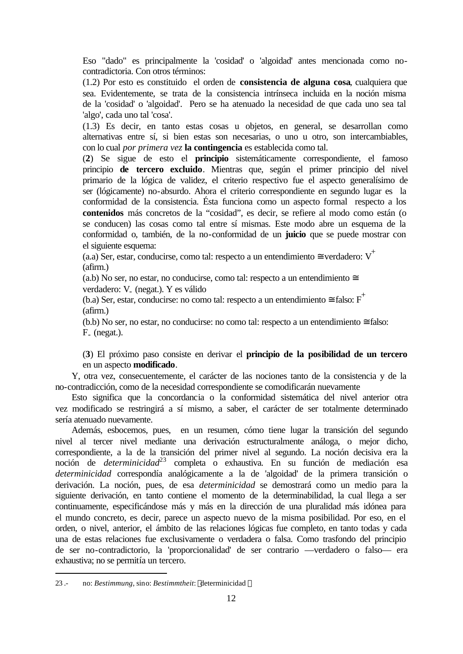Eso "dado" es principalmente la 'cosidad' o 'algoidad' antes mencionada como nocontradictoria. Con otros términos:

(1.2) Por esto es constituido el orden de **consistencia de alguna cosa**, cualquiera que sea. Evidentemente, se trata de la consistencia intrínseca incluida en la noción misma de la 'cosidad' o 'algoidad'. Pero se ha atenuado la necesidad de que cada uno sea tal 'algo', cada uno tal 'cosa'.

(1.3) Es decir, en tanto estas cosas u objetos, en general, se desarrollan como alternativas entre sí, si bien estas son necesarias, o uno u otro, son intercambiables, con lo cual *por primera vez* **la contingencia** es establecida como tal.

(**2**) Se sigue de esto el **principio** sistemáticamente correspondiente, el famoso principio **de tercero excluido**. Mientras que, según el primer principio del nivel primario de la lógica de validez, el criterio respectivo fue el aspecto generalísimo de ser (lógicamente) no-absurdo. Ahora el criterio correspondiente en segundo lugar es la conformidad de la consistencia. Ésta funciona como un aspecto formal respecto a los **contenidos** más concretos de la "cosidad", es decir, se refiere al modo como están (o se conducen) las cosas como tal entre sí mismas. Este modo abre un esquema de la conformidad o, también, de la no-conformidad de un **juicio** que se puede mostrar con el siguiente esquema:

(a.a) Ser, estar, conducirse, como tal: respecto a un entendimiento  $\cong$  verdadero: V<sup>+</sup> (afirm.)

(a.b) No ser, no estar, no conducirse, como tal: respecto a un entendimiento  $\cong$ verdadero: V<sub>-</sub> (negat.). Y es válido

(b.a) Ser, estar, conducirse: no como tal: respecto a un entendimiento  $\equiv$  falso:  $F^+$ (afirm.)

(b.b) No ser, no estar, no conducirse: no como tal: respecto a un entendimiento  $\equiv$  falso: F- (negat.).

(**3**) El próximo paso consiste en derivar el **principio de la posibilidad de un tercero** en un aspecto **modificado**.

Y, otra vez, consecuentemente, el carácter de las nociones tanto de la consistencia y de la no-contradicción, como de la necesidad correspondiente se comodificarán nuevamente

Esto significa que la concordancia o la conformidad sistemática del nivel anterior otra vez modificado se restringirá a sí mismo, a saber, el carácter de ser totalmente determinado sería atenuado nuevamente.

Además, esbocemos, pues, en un resumen, cómo tiene lugar la transición del segundo nivel al tercer nivel mediante una derivación estructuralmente análoga, o mejor dicho, correspondiente, a la de la transición del primer nivel al segundo. La noción decisiva era la noción de *determinicidad*<sup>23</sup> completa o exhaustiva. En su función de mediación esa *determinicidad* correspondía analógicamente a la de 'algoidad' de la primera transición o derivación. La noción, pues, de esa *determinicidad* se demostrará como un medio para la siguiente derivación, en tanto contiene el momento de la determinabilidad, la cual llega a ser continuamente, especificándose más y más en la dirección de una pluralidad más idónea para el mundo concreto, es decir, parece un aspecto nuevo de la misma posibilidad. Por eso, en el orden, o nivel, anterior, el ámbito de las relaciones lógicas fue completo, en tanto todas y cada una de estas relaciones fue exclusivamente o verdadera o falsa. Como trasfondo del principio de ser no-contradictorio, la 'proporcionalidad' de ser contrario —verdadero o falso— era exhaustiva; no se permitía un tercero.

<sup>23 .-</sup> no: *Bestimmung*, sino: *Bestimmtheit*: 〈determinicidad 〉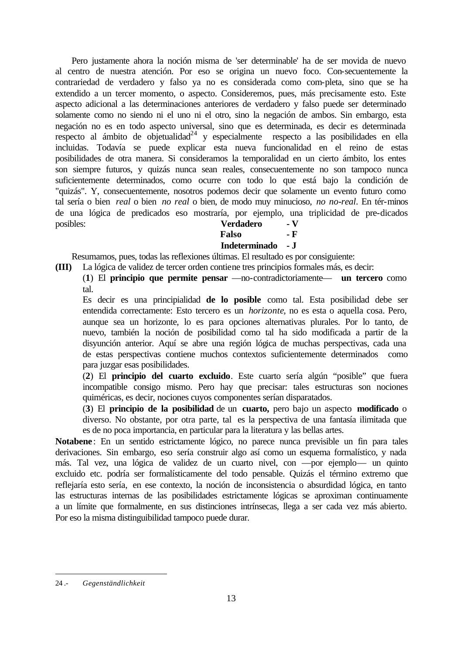Pero justamente ahora la noción misma de 'ser determinable' ha de ser movida de nuevo al centro de nuestra atención. Por eso se origina un nuevo foco. Con-secuentemente la contrariedad de verdadero y falso ya no es considerada como com-pleta, sino que se ha extendido a un tercer momento, o aspecto. Consideremos, pues, más precisamente esto. Este aspecto adicional a las determinaciones anteriores de verdadero y falso puede ser determinado solamente como no siendo ni el uno ni el otro, sino la negación de ambos. Sin embargo, esta negación no es en todo aspecto universal, sino que es determinada, es decir es determinada respecto al ámbito de objetualidad $^{24}$  y especialmente respecto a las posibilidades en ella incluidas. Todavía se puede explicar esta nueva funcionalidad en el reino de estas posibilidades de otra manera. Si consideramos la temporalidad en un cierto ámbito, los entes son siempre futuros, y quizás nunca sean reales, consecuentemente no son tampoco nunca suficientemente determinados, como ocurre con todo lo que está bajo la condición de "quizás". Y, consecuentemente, nosotros podemos decir que solamente un evento futuro como tal sería o bien *real* o bien *no real* o bien, de modo muy minucioso, *no no-real*. En tér-minos de una lógica de predicados eso mostraría, por ejemplo, una triplicidad de pre-dicados posibles:

| <b>Verdadero</b> | - V |
|------------------|-----|
| Falso            | - F |
| Indeterminado    | - J |

Resumamos, pues, todas las reflexiones últimas. El resultado es por consiguiente:

**(III)** La lógica de validez de tercer orden contiene tres principios formales más, es decir:

(**1**) El **principio que permite pensar** —no-contradictoriamente— **un tercero** como tal.

Es decir es una principialidad **de lo posible** como tal. Esta posibilidad debe ser entendida correctamente: Esto tercero es un *horizonte*, no es esta o aquella cosa. Pero, aunque sea un horizonte, lo es para opciones alternativas plurales. Por lo tanto, de nuevo, también la noción de posibilidad como tal ha sido modificada a partir de la disyunción anterior. Aquí se abre una región lógica de muchas perspectivas, cada una de estas perspectivas contiene muchos contextos suficientemente determinados como para juzgar esas posibilidades.

(**2**) El **principio del cuarto excluido**. Este cuarto sería algún "posible" que fuera incompatible consigo mismo. Pero hay que precisar: tales estructuras son nociones quiméricas, es decir, nociones cuyos componentes serían disparatados.

(**3**) El **principio de la posibilidad** de un **cuarto,** pero bajo un aspecto **modificado** o diverso. No obstante, por otra parte, tal es la perspectiva de una fantasía ilimitada que es de no poca importancia, en particular para la literatura y las bellas artes.

**Notabene**: En un sentido estrictamente lógico, no parece nunca previsible un fin para tales derivaciones. Sin embargo, eso sería construir algo así como un esquema formalístico, y nada más. Tal vez, una lógica de validez de un cuarto nivel, con —por ejemplo— un quinto excluido etc. podría ser formalísticamente del todo pensable. Quizás el término extremo que reflejaría esto sería, en ese contexto, la noción de inconsistencia o absurdidad lógica, en tanto las estructuras internas de las posibilidades estrictamente lógicas se aproximan continuamente a un límite que formalmente, en sus distinciones intrínsecas, llega a ser cada vez más abierto. Por eso la misma distinguibilidad tampoco puede durar.

<sup>24 .-</sup> *Gegenständlichkeit*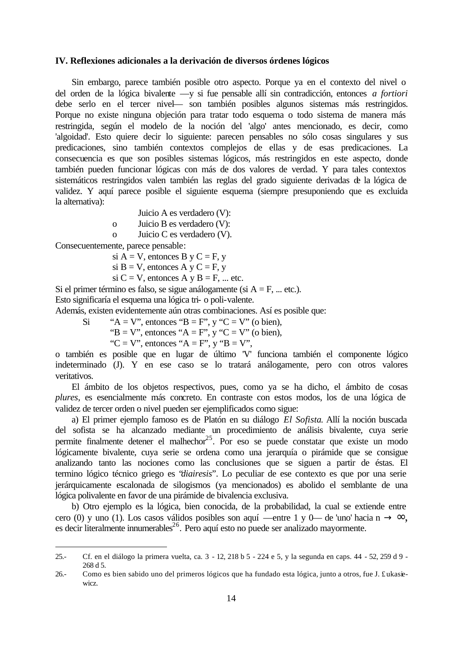### <span id="page-13-0"></span>**IV. Reflexiones adicionales a la derivación de diversos órdenes lógicos**

Sin embargo, parece también posible otro aspecto. Porque ya en el contexto del nivel o del orden de la lógica bivalente —y si fue pensable allí sin contradicción, entonces *a fortiori* debe serlo en el tercer nivel— son también posibles algunos sistemas más restringidos. Porque no existe ninguna objeción para tratar todo esquema o todo sistema de manera más restringida, según el modelo de la noción del 'algo' antes mencionado, es decir, como 'algoidad'. Esto quiere decir lo siguiente: parecen pensables no sólo cosas singulares y sus predicaciones, sino también contextos complejos de ellas y de esas predicaciones. La consecuencia es que son posibles sistemas lógicos, más restringidos en este aspecto, donde también pueden funcionar lógicas con más de dos valores de verdad. Y para tales contextos sistemáticos restringidos valen también las reglas del grado siguiente derivadas de la lógica de validez. Y aquí parece posible el siguiente esquema (siempre presuponiendo que es excluida la alternativa):

- Juicio A es verdadero (V):
- o Juicio B es verdadero (V):
- o Juicio C es verdadero (V).

Consecuentemente, parece pensable:

l

si  $A = V$ , entonces B y C = F, y

si B = V, entonces A y C = F, y

si C = V, entonces A y B = F, ... etc.

Si el primer término es falso, se sigue análogamente (si  $A = F$ , ... etc.). Esto significaría el esquema una lógica tri- o poli-valente.

Además, existen evidentemente aún otras combinaciones. Así es posible que:

Si "A = V", entonces "B = F", y "C = V" (o bien),

"B = V", entonces "A = F", y "C = V" (o bien),

"C = V", entonces "A = F", y "B = V",

o también es posible que en lugar de último 'V' funciona también el componente lógico indeterminado (J). Y en ese caso se lo tratará análogamente, pero con otros valores veritativos.

El ámbito de los objetos respectivos, pues, como ya se ha dicho, el ámbito de cosas *plures*, es esencialmente más concreto. En contraste con estos modos, los de una lógica de validez de tercer orden o nivel pueden ser ejemplificados como sigue:

a) El primer ejemplo famoso es de Platón en su diálogo *El Sofista*. Allí la noción buscada del sofista se ha alcanzado mediante un procedimiento de análisis bivalente, cuya serie permite finalmente detener el malhechor<sup>25</sup>. Por eso se puede constatar que existe un modo lógicamente bivalente, cuya serie se ordena como una jerarquía o pirámide que se consigue analizando tanto las nociones como las conclusiones que se siguen a partir de éstas. El termino lógico técnico griego es "*diairesis*". Lo peculiar de ese contexto es que por una serie jerárquicamente escalonada de silogismos (ya mencionados) es abolido el semblante de una lógica polivalente en favor de una pirámide de bivalencia exclusiva.

b) Otro ejemplo es la lógica, bien conocida, de la probabilidad, la cual se extiende entre cero (0) y uno (1). Los casos válidos posibles son aquí —entre 1 y 0— de 'uno' hacia n  $\rightarrow \infty$ , es decir literalmente innumerables $^{26}$ . Pero aquí esto no puede ser analizado mayormente.

<sup>25.-</sup> Cf. en el diálogo la primera vuelta, ca. 3 - 12, 218 b 5 - 224 e 5, y la segunda en caps. 44 - 52, 259 d 9 - 268 d 5.

<sup>26.-</sup> Como es bien sabido uno del primeros lógicos que ha fundado esta lógica, junto a otros, fue J. £ukasiewicz.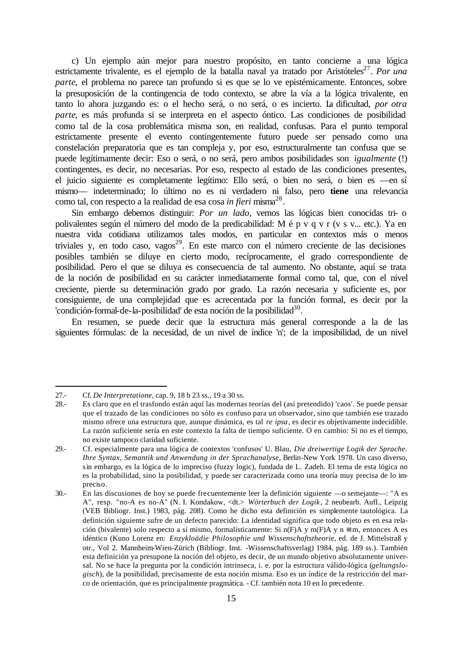c) Un ejemplo aún mejor para nuestro propósito, en tanto concierne a una lógica estrictamente trivalente, es el ejemplo de la batalla naval ya tratado por Aristóteles<sup>27</sup>. Por una *parte*, el problema no parece tan profundo si es que se lo ve epistémicamente. Entonces, sobre la presuposición de la contingencia de todo contexto, se abre la vía a la lógica trivalente, en tanto lo ahora juzgando es: o el hecho será, o no será, o es incierto. La dificultad, *por otra parte*, es más profunda si se interpreta en el aspecto óntico. Las condiciones de posibilidad como tal de la cosa problemática misma son, en realidad, confusas. Para el punto temporal estrictamente presente el evento contingentemente futuro puede ser pensado como una constelación preparatoria que es tan compleja y, por eso, estructuralmente tan confusa que se puede legítimamente decir: Eso o será, o no será, pero ambos posibilidades son *igualmente* (!) contingentes, es decir, no necesarias. Por eso, respecto al estado de las condiciones presentes, el juicio siguiente es completamente legítimo: Ello será, o bien no será, o bien es —en sí mismo— indeterminado; lo último no es ni verdadero ni falso, pero **tiene** una relevancia como tal, con respecto a la realidad de esa cosa *in fieri* misma<sup>28</sup>.

Sin embargo debemos distinguir: *Por un lado*, vemos las lógicas bien conocidas tri- o polivalentes según el número del modo de la predicabilidad: M é p v q v r (v s v... etc.). Ya en nuestra vida cotidiana utilizamos tales modos, en particular en contextos más o menos triviales y, en todo caso, vagos<sup>29</sup>. En este marco con el número creciente de las decisiones posibles también se diluye en cierto modo, recíprocamente, el grado correspondiente de posibilidad. Pero el que se diluya es consecuencia de tal aumento. No obstante, aquí se trata de la noción de posibilidad en su carácter inmediatamente formal como tal, que, con el nivel creciente, pierde su determinación grado por grado. La razón necesaria y suficiente es, por consiguiente, de una complejidad que es acrecentada por la función formal, es decir por la 'condición-formal-de-la-posibilidad' de esta noción de la posibilidad<sup>30</sup>.

En resumen, se puede decir que la estructura más general corresponde a la de las siguientes fórmulas: de la necesidad, de un nivel de índice 'n'; de la imposibilidad, de un nivel

<sup>27.-</sup> Cf. *De Interpretatione*, cap. 9, 18 b 23 ss., 19 a 30 ss.

<sup>28.-</sup> Es claro que en el trasfondo están aquí las modernas teorías del (así pretendido) 'caos'. Se puede pensar que el trazado de las condiciones no sólo es confuso para un observador, sino que también ese trazado mismo ofrece una estructura que, aunque dinámica, es tal *re ipsa*, es decir es objetivamente indecidible. La razón suficiente sería en este contexto la falta de tiempo suficiente. O en cambio: Si no es el tiempo, no existe tampoco claridad suficiente.

<sup>29.-</sup> Cf. especialmente para una lógica de contextos 'confusos' U. Blau, *Die dreiwertige Logik der Sprache. Ihre Syntax, Semantik und Anwendung in der Sprachanalyse*, Berlin-New York 1978. Un caso diverso, sin embargo, es la lógica de lo impreciso (fuzzy logic), fundada de L. Zadeh. El tema de esta lógica no es la probabilidad, sino la posibilidad, y puede ser caracterizada como una teoría muy precisa de lo impreciso.

<sup>30.-</sup> En las discusiones de hoy se puede frecuentemente leer la definición siguiente —o semejante—: "A es A", resp. "no-A es no-A" (N. I. Kondakow, <dt.> *Wörterbuch der Logik*, 2 neubearb. Aufl., Leipzig (VEB Bibliogr. Inst.) 1983, pág. 208). Como he dicho esta definición es simplemente tautológica. La definición siguiente sufre de un defecto parecido: La identidad significa que todo objeto es en esa relación (bivalente) solo respecto a sí mismo, formalísticamente: Si n(F)A y m(F)A y n  $\equiv$  m, entonces A es idéntico (Kuno Lorenz en: *Enzykloädie Philosophie und Wissenschaftstheorie*, ed. de J. Mittelstraß y otr., Vol 2. Mannheim-Wien-Zürich (Bibliogr. Inst. -Wissenschaftsverlag) 1984, pág. 189 ss.). También esta definición ya presupone la noción del objeto, es decir, de un mundo objetivo absolutamente universal. No se hace la pregunta por la condición intrinseca, i. e. por la estructura válido-lógica (*geltungslogisch*), de la posibilidad, precisamente de esta noción misma. Eso es un índice de la restricción del marco de orientación, que es principalmente pragmática. - Cf. también nota 10 en lo precedente.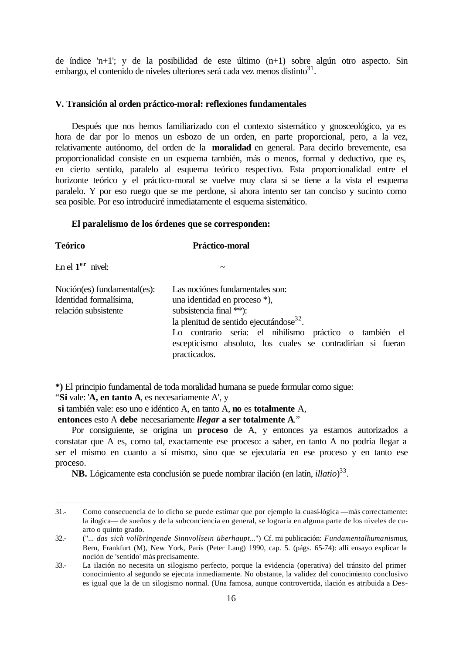<span id="page-15-0"></span>de índice 'n+1'; y de la posibilidad de este último (n+1) sobre algún otro aspecto. Sin embargo, el contenido de niveles ulteriores será cada vez menos distinto<sup>31</sup>.

#### **V. Transición al orden práctico-moral: reflexiones fundamentales**

Después que nos hemos familiarizado con el contexto sistemático y gnosceológico, ya es hora de dar por lo menos un esbozo de un orden, en parte proporcional, pero, a la vez, relativamente autónomo, del orden de la **moralidad** en general. Para decirlo brevemente, esa proporcionalidad consiste en un esquema también, más o menos, formal y deductivo, que es, en cierto sentido, paralelo al esquema teórico respectivo. Esta proporcionalidad entre el horizonte teórico y el práctico-moral se vuelve muy clara si se tiene a la vista el esquema paralelo. Y por eso ruego que se me perdone, si ahora intento ser tan conciso y sucinto como sea posible. Por eso introduciré inmediatamente el esquema sistemático.

#### **El paralelismo de los órdenes que se corresponden:**

| <b>Teórico</b>                                                                | Práctico-moral                                                                                                                                                                                                                                                                    |  |  |  |
|-------------------------------------------------------------------------------|-----------------------------------------------------------------------------------------------------------------------------------------------------------------------------------------------------------------------------------------------------------------------------------|--|--|--|
| En el $1er$ nivel:                                                            | $\tilde{\phantom{a}}$                                                                                                                                                                                                                                                             |  |  |  |
| Noción(es) fundamental(es):<br>Identidad formalísima,<br>relación subsistente | Las nociónes fundamentales son:<br>una identidad en proceso *),<br>subsistencia final **):<br>la plenitud de sentido ejecutándose $32$ .<br>Lo contrario sería: el nihilismo práctico o también el<br>escepticismo absoluto, los cuales se contradirían si fueran<br>practicados. |  |  |  |

**\*)** El principio fundamental de toda moralidad humana se puede formular como sigue:

"**Si** vale: '**A, en tanto A**, es necesariamente A', y

l

**si** también vale: eso uno e idéntico A, en tanto A, **no** es **totalmente** A,

 **entonces** esto A **debe** necesariamente *llegar* **a ser totalmente A**."

Por consiguiente, se origina un **proceso** de A, y entonces ya estamos autorizados a constatar que A es, como tal, exactamente ese proceso: a saber, en tanto A no podría llegar a ser el mismo en cuanto a sí mismo, sino que se ejecutaría en ese proceso y en tanto ese proceso.

**NB.** Lógicamente esta conclusión se puede nombrar ilación (en latín, *illatio*) 33 .

<sup>31.-</sup> Como consecuencia de lo dicho se puede estimar que por ejemplo la cuasi-lógica —más correctamente: la ilogica— de sueños y de la subconciencia en general, se lograría en alguna parte de los niveles de cuarto o quinto grado.

<sup>32.-</sup> ("... *das sich vollbringende Sinnvollsein überhaupt*...") Cf. mi publicación: *Fundamentalhumanismus*, Bern, Frankfurt (M), New York, París (Peter Lang) 1990, cap. 5. (págs. 65-74): allí ensayo explicar la noción de 'sentido' más precisamente.

<sup>33.-</sup> La ilación no necesita un silogismo perfecto, porque la evidencia (operativa) del tránsito del primer conocimiento al segundo se ejecuta inmediamente. No obstante, la validez del conocimiento conclusivo es igual que la de un silogismo normal. (Una famosa, aunque controvertida, ilación es atribuida a Des-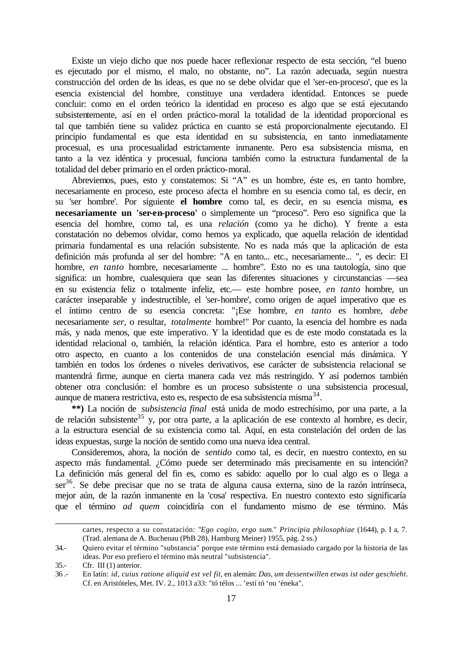Existe un viejo dicho que nos puede hacer reflexionar respecto de esta sección, "el bueno es ejecutado por el mismo, el malo, no obstante, no". La razón adecuada, según nuestra construcción del orden de las ideas, es que no se debe olvidar que el 'ser-en-proceso', que es la esencia existencial del hombre, constituye una verdadera identidad. Entonces se puede concluir: como en el orden teórico la identidad en proceso es algo que se está ejecutando subsistentemente, así en el orden práctico-moral la totalidad de la identidad proporcional es tal que también tiene su validez práctica en cuanto se está proporcionalmente ejecutando. El principio fundamental es que esta identidad en su subsistencia, en tanto inmediatamente procesual, es una procesualidad estrictamente inmanente. Pero esa subsistencia misma, en tanto a la vez idéntica y procesual, funciona también como la estructura fundamental de la totalidad del deber primario en el orden práctico-moral.

Abreviemos, pues, esto y constatemos: Si "A" es un hombre, éste es, en tanto hombre, necesariamente en proceso, este proceso afecta el hombre en su esencia como tal, es decir, en su 'ser hombre'. Por siguiente **el hombre** como tal, es decir, en su esencia misma, **es necesariamente un 'ser-en-proceso'** o simplemente un "proceso". Pero eso significa que la esencia del hombre, como tal, es una *relación* (como ya he dicho). Y frente a esta constatación no debemos olvidar, como hemos ya explicado, que aquella relación de identidad primaria fundamental es una relación subsistente. No es nada más que la aplicación de esta definición más profunda al ser del hombre: "A en tanto... etc., necesariamente... ", es decir: El hombre, *en tanto* hombre, necesariamente ... hombre". Esto no es una tautología, sino que significa: un hombre, cualesquiera que sean las diferentes situaciones y circunstancias —sea en su existencia feliz o totalmente infeliz, etc.— este hombre posee, *en tanto* hombre, un carácter inseparable y indestructible, el 'ser-hombre', como origen de aquel imperativo que es el íntimo centro de su esencia concreta: "¡Ese hombre, *en tanto* es hombre, *debe* necesariamente *ser*, o resultar, *totalmente* hombre!" Por cuanto, la esencia del hombre es nada más, y nada menos, que este imperativo. Y la identidad que es de este modo constatada es la identidad relacional o, también, la relación idéntica. Para el hombre, esto es anterior a todo otro aspecto, en cuanto a los contenidos de una constelación esencial más dinámica. Y también en todos los órdenes o niveles derivativos, ese carácter de subsistencia relacional se mantendrá firme, aunque en cierta manera cada vez más restringido. Y así podemos también obtener otra conclusión: el hombre es un proceso subsistente o una subsistencia procesual, aunque de manera restrictiva, esto es, respecto de esa subsistencia misma<sup>34</sup>.

**\*\*)** La noción de *subsistencia final* está unida de modo estrechísimo, por una parte, a la de relación subsistente<sup>35</sup> y, por otra parte, a la aplicación de ese contexto al hombre, es decir, a la estructura esencial de su existencia como tal. Aquí, en esta constelación del orden de las ideas expuestas, surge la noción de sentido como una nueva idea central.

Consideremos, ahora, la noción de *sentido* como tal, es decir, en nuestro contexto, en su aspecto más fundamental. ¿Cómo puede ser determinado más precisamente en su intención? La definición más general del fin es, como es sabido: aquello por lo cual algo es o llega a  $ser<sup>36</sup>$ . Se debe precisar que no se trata de alguna causa externa, sino de la razón intrínseca, mejor aún, de la razón inmanente en la 'cosa' respectiva. En nuestro contexto esto significaría que el término *ad quem* coincidiría con el fundamento mismo de ese término. Más

\_\_\_\_\_\_\_\_\_\_\_\_\_\_\_\_\_\_\_\_\_\_\_

cartes, respecto a su constatación: "*Ego cogito, ergo sum*." *Principia philosophiae* (1644), p. I a, 7. (Trad. alemana de A. Buchenau (PhB 28), Hamburg Meiner) 1955, pág. 2 ss.)

<sup>34.-</sup> Quiero evitar el término "substancia" porque este término está demasiado cargado por la historia de las ideas. Por eso prefiero el término más neutral "subsistencia".

<sup>35.-</sup> Cfr. III (1) anterior.

<sup>36 .-</sup> En latín: *id, cuius ratione aliquid est vel fit*, en alemán: *Das, um dessentwillen etwas ist oder geschieht*. Cf. en Aristóteles, Met. IV. 2., 1013 a33: "tó télos ... 'estí tó 'ou 'éneka".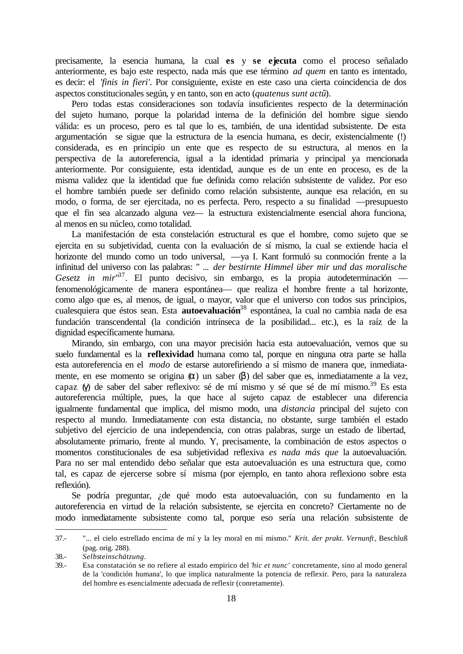precisamente, la esencia humana, la cual **es** y **se ejecuta** como el proceso señalado anteriormente, es bajo este respecto, nada más que ese término *ad quem* en tanto es intentado, es decir: el *'finis in fieri'*. Por consiguiente, existe en este caso una cierta coincidencia de dos aspectos constitucionales según, y en tanto, son en acto (*quatenus sunt actû*).

Pero todas estas consideraciones son todavía insuficientes respecto de la determinación del sujeto humano, porque la polaridad interna de la definición del hombre sigue siendo válida: es un proceso, pero es tal que lo es, también, de una identidad subsistente. De esta argumentación se sigue que la estructura de la esencia humana, es decir, existencialmente (!) considerada, es en principio un ente que es respecto de su estructura, al menos en la perspectiva de la autoreferencia, igual a la identidad primaria y principal ya mencionada anteriormente. Por consiguiente, esta identidad, aunque es de un ente en proceso, es de la misma validez que la identidad que fue definida como relación subsistente de validez. Por eso el hombre también puede ser definido como relación subsistente, aunque esa relación, en su modo, o forma, de ser ejercitada, no es perfecta. Pero, respecto a su finalidad —presupuesto que el fin sea alcanzado alguna vez— la estructura existencialmente esencial ahora funciona, al menos en su núcleo, como totalidad.

La manifestación de esta constelación estructural es que el hombre, como sujeto que se ejercita en su subjetividad, cuenta con la evaluación de sí mismo, la cual se extiende hacia el horizonte del mundo como un todo universal, —ya I. Kant formuló su conmoción frente a la infinitud del universo con las palabras: " ... *der bestirnte Himmel über mir und das moralische*  Gesetz in mir<sup>37</sup>. El punto decisivo, sin embargo, es la propia autodeterminación fenomenológicamente de manera espontánea— que realiza el hombre frente a tal horizonte, como algo que es, al menos, de igual, o mayor, valor que el universo con todos sus principios, cualesquiera que éstos sean. Esta **autoevaluación**<sup>38</sup> espontánea, la cual no cambia nada de esa fundación transcendental (la condición intrínseca de la posibilidad... etc.), es la raíz de la dignidad específicamente humana.

Mirando, sin embargo, con una mayor precisión hacia esta autoevaluación, vemos que su suelo fundamental es la **reflexividad** humana como tal, porque en ninguna otra parte se halla esta autoreferencia en el *modo* de estarse autorefiriendo a sí mismo de manera que, inmediatamente, en ese momento se origina (α) un saber (β) del saber que es, inmediatamente a la vez, capaz (γ) de saber del saber reflexivo: sé de mí mismo y sé que sé de mí mismo.<sup>39</sup> Es esta autoreferencia múltiple, pues, la que hace al sujeto capaz de establecer una diferencia igualmente fundamental que implica, del mismo modo, una *distancia* principal del sujeto con respecto al mundo. Inmediatamente con esta distancia, no obstante, surge también el estado subjetivo del ejercicio de una independencia, con otras palabras, surge un estado de libertad, absolutamente primario, frente al mundo. Y, precisamente, la combinación de estos aspectos o momentos constitucionales de esa subjetividad reflexiva *es nada más que* la autoevaluación. Para no ser mal entendido debo señalar que esta autoevaluación es una estructura que, como tal, es capaz de ejercerse sobre sí misma (por ejemplo, en tanto ahora reflexiono sobre esta reflexión).

Se podría preguntar, ¿de qué modo esta autoevaluación, con su fundamento en la autoreferencia en virtud de la relación subsistente, se ejercita en concreto? Ciertamente no de modo inmediatamente subsistente como tal, porque eso sería una relación subsistente de

<sup>37.-</sup> "... el cielo estrellado encima de mí y la ley moral en mí mismo." *Krit. der prakt. Vernunft*, Beschluß (pag. orig. 288).

<sup>38.-</sup> *Selbsteinschätzung.*

<sup>39.-</sup> Esa constatación se no refiere al estado empirico del '*hic et nunc'* concretamente, sino al modo general de la 'condición humana', lo que implica naturalmente la potencia de reflexir. Pero, para la naturaleza del hombre es esencialmente adecuada de reflexir (conretamente).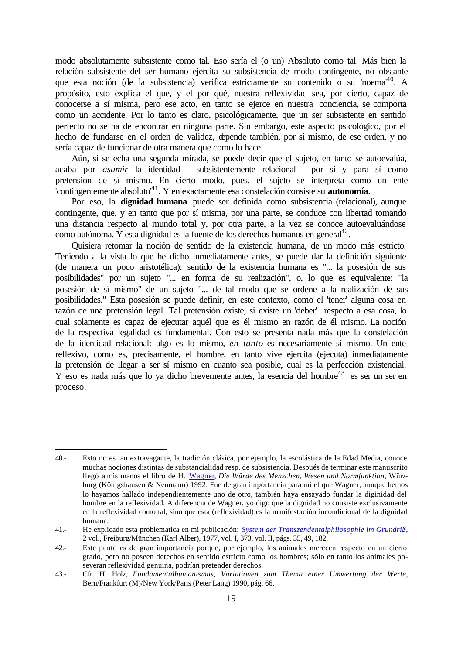modo absolutamente subsistente como tal. Eso sería el (o un) Absoluto como tal. Más bien la relación subsistente del ser humano ejercita su subsistencia de modo contingente, no obstante que esta noción (de la subsistencia) verifica estrictamente su contenido o su 'noema<sup>40</sup>. A propósito, esto explica el que, y el por qué, nuestra reflexividad sea, por cierto, capaz de conocerse a sí misma, pero ese acto, en tanto se ejerce en nuestra conciencia, se comporta como un accidente. Por lo tanto es claro, psicológicamente, que un ser subsistente en sentido perfecto no se ha de encontrar en ninguna parte. Sin embargo, este aspecto psicológico, por el hecho de fundarse en el orden de validez, depende también, por sí mismo, de ese orden, y no sería capaz de funcionar de otra manera que como lo hace.

Aún, si se echa una segunda mirada, se puede decir que el sujeto, en tanto se autoevalúa, acaba por *asumir* la identidad —subsistentemente relacional— por sí y para sí como pretensión de sí mismo. En cierto modo, pues, el sujeto se interpreta como un ente 'contingentemente absoluto'<sup>41</sup>. Y en exactamente esa constelación consiste su **autonomía**.

Por eso, la **dignidad humana** puede ser definida como subsistencia (relacional), aunque contingente, que, y en tanto que por sí misma, por una parte, se conduce con libertad tomando una distancia respecto al mundo total y, por otra parte, a la vez se conoce autoevaluándose como autónoma. Y esta dignidad es la fuente de los derechos humanos en general $4^2$ .

Quisiera retomar la noción de sentido de la existencia humana, de un modo más estricto. Teniendo a la vista lo que he dicho inmediatamente antes, se puede dar la definición siguiente (de manera un poco aristotélica): sentido de la existencia humana es "... la posesión de sus posibilidades" por un sujeto "... en forma de su realización", o, lo que es equivalente: "la posesión de sí mismo" de un sujeto "... de tal modo que se ordene a la realización de sus posibilidades." Esta posesión se puede definir, en este contexto, como el 'tener' alguna cosa en razón de una pretensión legal. Tal pretensión existe, si existe un 'deber' respecto a esa cosa, lo cual solamente es capaz de ejecutar aquél que es él mismo en razón de él mismo. La noción de la respectiva legalidad es fundamental. Con esto se presenta nada más que la constelación de la identidad relacional: algo es lo mismo, *en tanto* es necesariamente sí mismo. Un ente reflexivo, como es, precisamente, el hombre, en tanto vive ejercita (ejecuta) inmediatamente la pretensión de llegar a ser sí mismo en cuanto sea posible, cual es la perfección existencial. Y eso es nada más que lo ya dicho brevemente antes, la esencia del hombre<sup>43</sup> es ser un ser en proceso.

<sup>40.-</sup> Esto no es tan extravagante, la tradición clásica, por ejemplo, la escolástica de la Edad Media, conoce muchas nociones distintas de substancialidad resp. de subsistencia. Después de terminar este manuscrito llegó a mis manos el libro de H[. Wagner,](http://phaidon.philo.at/asp/hwagner.htm#ll) *Die Würde des Menschen, Wesen und Normfunktion*, Würzburg (Königshausen & Neumann) 1992. Fue de gran importancia para mí el que Wagner, aunque hemos lo hayamos hallado independientemente uno de otro, también haya ensayado fundar la diginidad del hombre en la reflexividad. A diferencia de Wagner, yo digo que la dignidad no consiste exclusivamente en la reflexividad como tal, sino que esta (reflexividad) es la manifestación incondicional de la dignidad humana.

<sup>41.-</sup> He explicado esta problematica en mi publicación: *[System der Transzendentalphilosophie im Grundriß](http://phaidon.philo.at/asp/hholz2.htm#sdtig)*, 2 vol., Freiburg/München (Karl Alber), 1977, vol. I, 373, vol. II, págs. 35, 49, 182.

<sup>42.-</sup> Este punto es de gran importancia porque, por ejemplo, los animales merecen respecto en un cierto grado, pero no poseen derechos en sentido estricto como los hombres; sólo en tanto los animales poseyeran reflexividad genuina, podrían pretender derechos.

<sup>43.-</sup> Cfr. H. Holz, *Fundamentalhumanismus, Variationen zum Thema einer Umwertung der Werte*, Bern/Frankfurt (M)/New York/Paris (Peter Lang) 1990, pág. 66.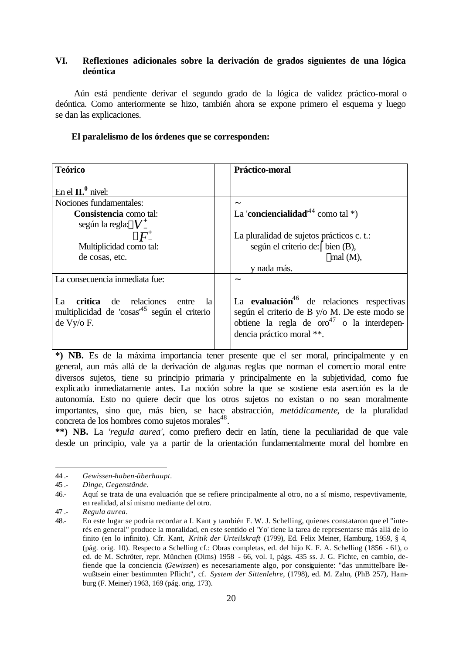# <span id="page-19-0"></span>**VI. Reflexiones adicionales sobre la derivación de grados siguientes de una lógica deóntica**

 Aún está pendiente derivar el segundo grado de la lógica de validez práctico-moral o deóntica. Como anteriormente se hizo, también ahora se expone primero el esquema y luego se dan las explicaciones.

| <b>Teórico</b>                                                                                                           | Práctico-moral                                                                                                                                                                                |
|--------------------------------------------------------------------------------------------------------------------------|-----------------------------------------------------------------------------------------------------------------------------------------------------------------------------------------------|
| En el $\mathbf{II.}^0$ nivel:                                                                                            |                                                                                                                                                                                               |
| Nociones fundamentales:                                                                                                  |                                                                                                                                                                                               |
| Consistencia como tal:                                                                                                   | La 'conciencialidad' <sup>44</sup> como tal *)                                                                                                                                                |
| según la regla: $V_{-}^{+}$<br>Multiplicidad como tal:<br>de cosas, etc.                                                 | La pluralidad de sujetos prácticos c. t.:<br>según el criterio de: (bien (B),<br>$\lfloor$ mal (M),<br>v nada más.                                                                            |
| La consecuencia inmediata fue:                                                                                           |                                                                                                                                                                                               |
| La<br>de relaciones<br>critica<br>- la<br>entre<br>multiplicidad de 'cosas <sup>45</sup> según el criterio<br>de Vy/o F. | La evaluación <sup>46</sup> de relaciones respectivas<br>según el criterio de B y/o M. De este modo se<br>obtiene la regla de oro <sup>47</sup> o la interdepen-<br>dencia práctico moral **. |

### **El paralelismo de los órdenes que se corresponden:**

**\*) NB.** Es de la máxima importancia tener presente que el ser moral, principalmente y en general, aun más allá de la derivación de algunas reglas que norman el comercio moral entre diversos sujetos, tiene su principio primaria y principalmente en la subjetividad, como fue explicado inmediatamente antes. La noción sobre la que se sostiene esta aserción es la de autonomía. Esto no quiere decir que los otros sujetos no existan o no sean moralmente importantes, sino que, más bien, se hace abstracción, *metódicamente*, de la pluralidad concreta de los hombres como sujetos morales<sup>48</sup>.

**\*\*) NB.** La *'regula aurea'*, como prefiero decir en latín, tiene la peculiaridad de que vale desde un principio, vale ya a partir de la orientación fundamentalmente moral del hombre en

<sup>44 .-</sup> *Gewissen-haben-überhaupt.*

<sup>45 .-</sup> *Dinge, Gegenstände*.

<sup>46.-</sup> Aquí se trata de una evaluación que se refiere principalmente al otro, no a sí mismo, respevtivamente, en realidad, al sí mismo mediante del otro.

<sup>47 .-</sup> *Regula aurea*.

<sup>48.-</sup> En este lugar se podría recordar a I. Kant y también F. W. J. Schelling, quienes constataron que el "interés en general" produce la moralidad, en este sentido el 'Yo' tiene la tarea de representarse más allá de lo finito (en lo infinito). Cfr. Kant, *Kritik der Urteilskraft* (1799), Ed. Felix Meiner, Hamburg, 1959, § 4, (pág. orig. 10). Respecto a Schelling cf.: Obras completas, ed. del hijo K. F. A. Schelling (1856 - 61), o ed. de M. Schröter, repr. München (Olms) 1958 - 66, vol. I, págs. 435 ss. J. G. Fichte, en cambio, defiende que la conciencia (*Gewissen*) es necesariamente algo, por consiguiente: "das unmittelbare Bewußtsein einer bestimmten Pflicht", cf. *System der Sittenlehre*, (1798), ed. M. Zahn, (PhB 257), Hamburg (F. Meiner) 1963, 169 (pág. orig. 173).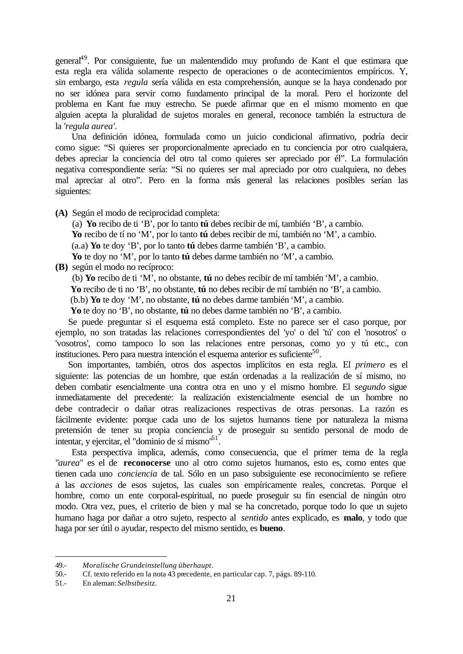general<sup>49</sup>. Por consiguiente, fue un malentendido muy profundo de Kant el que estimara que esta regla era válida solamente respecto de operaciones o de acontecimientos empíricos. Y, sin embargo, esta *regula* sería válida en esta comprehensión, aunque se la haya condenado por no ser idónea para servir como fundamento principal de la moral. Pero el horizonte del problema en Kant fue muy estrecho. Se puede afirmar que en el mismo momento en que alguien acepta la pluralidad de sujetos morales en general, reconoce también la estructura de la *'regula aurea'*.

Una definición idónea, formulada como un juicio condicional afirmativo, podría decir como sigue: "Si quieres ser proporcionalmente apreciado en tu conciencia por otro cualquiera, debes apreciar la conciencia del otro tal como quieres ser apreciado por él". La formulación negativa correspondiente sería: "Si no quieres ser mal apreciado por otro cualquiera, no debes mal apreciar al otro". Pero en la forma más general las relaciones posibles serían las siguientes:

**(A)** Según el modo de reciprocidad completa:

(a) **Yo** recibo de ti 'B', por lo tanto **tú** debes recibir de mí, también 'B', a cambio. **Yo** recibo de tí no 'M', por lo tanto **tú** debes recibir de mí, también no 'M', a cambio. (a.a) **Yo** te doy 'B', por lo tanto **tú** debes darme también 'B', a cambio.

**Yo** te doy no 'M', por lo tanto **tú** debes darme también no 'M', a cambio.

**(B)** según el modo no recíproco:

(b) **Yo** recibo de ti 'M', no obstante, **tú** no debes recibir de mí también 'M', a cambio.

 **Yo** recibo de ti no 'B', no obstante, **tú** no debes recibir de mí también no 'B', a cambio.

(b.b) **Yo** te doy 'M', no obstante, **tú** no debes darme también 'M', a cambio.

 **Yo** te doy no 'B', no obstante, **tú** no debes darme también no 'B', a cambio.

Se puede preguntar si el esquema está completo. Este no parece ser el caso porque, por ejemplo, no son tratadas las relaciones correspondientes del 'yo' o del 'tú' con el 'nosotros' o 'vosotros', como tampoco lo son las relaciones entre personas, como yo y tú etc., con instituciones. Pero para nuestra intención el esquema anterior es suficiente<sup>50</sup>.

Son importantes, también, otros dos aspectos implícitos en esta regla. El *primero* es el siguiente: las potencias de un hombre, que están ordenadas a la realización de sí mismo, no deben combatir esencialmente una contra otra en uno y el mismo hombre. El *segundo* sigue inmediatamente del precedente: la realización existencialmente esencial de un hombre no debe contradecir o dañar otras realizaciones respectivas de otras personas. La razón es fácilmente evidente: porque cada uno de los sujetos humanos tiene por naturaleza la misma pretensión de tener su propia conciencia y de proseguir su sentido personal de modo de intentar, y ejercitar, el "dominio de sí mismo $^{61}$ .

Esta perspectiva implica, además, como consecuencia, que el primer tema de la regla "*aurea*" es el de **reconocerse** uno al otro como sujetos humanos, esto es, como entes que tienen cada uno *conciencia* de tal. Sólo en un paso subsiguiente ese reconocimiento se refiere a las *acciones* de esos sujetos, las cuales son empíricamente reales, concretas. Porque el hombre, como un ente corporal-espiritual, no puede proseguir su fin esencial de ningún otro modo. Otra vez, pues, el criterio de bien y mal se ha concretado, porque todo lo que un sujeto humano haga por dañar a otro sujeto, respecto al *sentido* antes explicado, es **malo**, y todo que haga por ser útil o ayudar, respecto del mismo sentido, es **bueno**.

<sup>49.-</sup> *Moralische Grundeinstellung überhaupt*.

<sup>50.-</sup> Cf. texto referido en la nota 43 precedente, en particular cap. 7, págs. 89-110.

<sup>51.-</sup> En aleman: *Selbstbesitz*.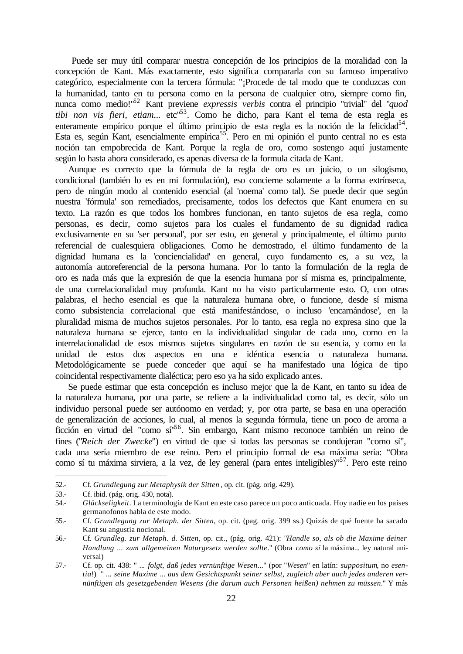Puede ser muy útil comparar nuestra concepción de los principios de la moralidad con la concepción de Kant. Más exactamente, esto significa compararla con su famoso imperativo categórico, especialmente con la tercera fórmula: "¡Procede de tal modo que te conduzcas con la humanidad, tanto en tu persona como en la persona de cualquier otro, siempre como fin, nunca como medio!"<sup>52</sup> Kant previene *expressis verbis* contra el principio "trivial" del "*quod tibi non vis fieri, etiam*... etc"<sup>53</sup>. Como he dicho, para Kant el tema de esta regla es enteramente empírico porque el último principio de esta regla es la noción de la felicidad<sup>54</sup>. Esta es, según Kant, esencialmente empírica<sup>55</sup>. Pero en mi opinión el punto central no es esta noción tan empobrecida de Kant. Porque la regla de oro, como sostengo aquí justamente según lo hasta ahora considerado, es apenas diversa de la formula citada de Kant.

Aunque es correcto que la fórmula de la regla de oro es un juicio, o un silogismo, condicional (también lo es en mi formulación), eso concierne solamente a la forma extrínseca, pero de ningún modo al contenido esencial (al 'noema' como tal). Se puede decir que según nuestra 'fórmula' son remediados, precisamente, todos los defectos que Kant enumera en su texto. La razón es que todos los hombres funcionan, en tanto sujetos de esa regla, como personas, es decir, como sujetos para los cuales el fundamento de su dignidad radica exclusivamente en su 'ser personal', por ser esto, en general y principalmente, el último punto referencial de cualesquiera obligaciones. Como he demostrado, el último fundamento de la dignidad humana es la 'conciencialidad' en general, cuyo fundamento es, a su vez, la autonomía autoreferencial de la persona humana. Por lo tanto la formulación de la regla de oro es nada más que la expresión de que la esencia humana por sí misma es, principalmente, de una correlacionalidad muy profunda. Kant no ha visto particularmente esto. O, con otras palabras, el hecho esencial es que la naturaleza humana obre, o funcione, desde sí misma como subsistencia correlacional que está manifestándose, o incluso 'encarnándose', en la pluralidad misma de muchos sujetos personales. Por lo tanto, esa regla no expresa sino que la naturaleza humana se ejerce, tanto en la individualidad singular de cada uno, como en la interrelacionalidad de esos mismos sujetos singulares en razón de su esencia, y como en la unidad de estos dos aspectos en una e idéntica esencia o naturaleza humana. Metodológicamente se puede conceder que aquí se ha manifestado una lógica de tipo coincidental respectivamente dialéctica; pero eso ya ha sido explicado antes.

Se puede estimar que esta concepción es incluso mejor que la de Kant, en tanto su idea de la naturaleza humana, por una parte, se refiere a la individualidad como tal, es decir, sólo un individuo personal puede ser autónomo en verdad; y, por otra parte, se basa en una operación de generalización de acciones, lo cual, al menos la segunda fórmula, tiene un poco de aroma a ficción en virtud del "como sí"<sup>56</sup>. Sin embargo, Kant mismo reconoce también un reino de fines ("*Reich der Zwecke*") en virtud de que si todas las personas se condujeran "como sí", cada una sería miembro de ese reino. Pero el principio formal de esa máxima sería: "Obra como sí tu máxima sirviera, a la vez, de ley general (para entes inteligibles)"<sup>57</sup>. Pero este reino

<sup>52.-</sup> Cf. *Grundlegung zur Metaphysik der Sitten* , op. cit. (pág. orig. 429).

<sup>53.-</sup> Cf. ibid. (pág. orig. 430, nota).

<sup>54.-</sup> *Glückseligkeit*. La terminología de Kant en este caso parece un poco anticuada. Hoy nadie en los países germanofonos habla de este modo.

<sup>55.-</sup> Cf. *Grundlegung zur Metaph. der Sitten*, op. cit. (pag. orig. 399 ss.) Quizás de qué fuente ha sacado Kant su angustia nocional.

<sup>56.-</sup> Cf. *Grundleg. zur Metaph. d. Sitten*, op. cit., (pág. orig. 421): "*Handle so, als ob die Maxime deiner Handlung ... zum allgemeinen Naturgesetz werden sollte*." (Obra *como sí* la máxima... ley natural universal)

<sup>57.-</sup> Cf. op. cit. 438: " ... *folgt, daß jedes vernünftige Wesen*..." (por "*Wesen*" en latín: *suppositum*, no *esentia*!) " ... *seine Maxime* ... *aus dem Gesichtspunkt seiner selbst, zugleich aber auch jedes anderen vernünftigen als gesetzgebenden Wesens (die darum auch Personen heißen) nehmen zu müssen*." Y más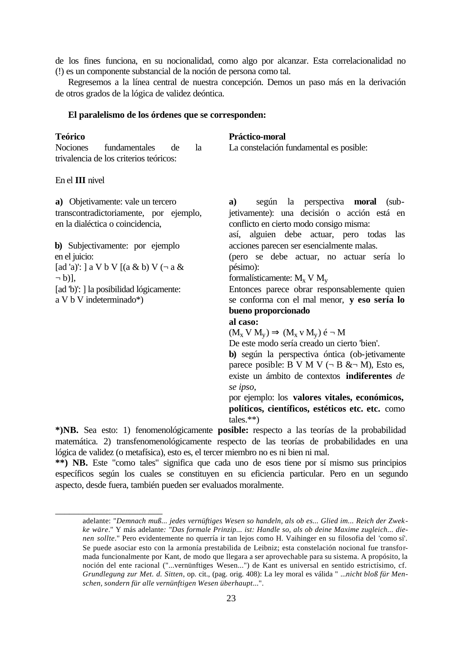de los fines funciona, en su nocionalidad, como algo por alcanzar. Esta correlacionalidad no (!) es un componente substancial de la noción de persona como tal.

Regresemos a la línea central de nuestra concepción. Demos un paso más en la derivación de otros grados de la lógica de validez deóntica.

### **El paralelismo de los órdenes que se corresponden:**

| <b>Teórico</b> |                                        |     | Práctico-moral |                                         |
|----------------|----------------------------------------|-----|----------------|-----------------------------------------|
| Nociones       | fundamentales                          | de. |                | La constelación fundamental es posible: |
|                | trivalencia de los criterios teóricos: |     |                |                                         |

En el **III** nivel

**a)** Objetivamente: vale un tercero transcontradictoriamente, por ejemplo, en la dialéctica o coincidencia,

**b)** Subjectivamente: por ejemplo en el juicio: [ad 'a)': ] a V b V [(a & b) V ( $\neg$  a &

 $\neg$  b)]. [ad 'b)': ] la posibilidad lógicamente:

a V b V indeterminado\*)

\_\_\_\_\_\_\_\_\_\_\_\_\_\_\_\_\_\_\_\_\_\_\_

**a)** según la perspectiva **moral** (subjetivamente): una decisión o acción está en conflicto en cierto modo consigo misma:

así, alguien debe actuar, pero todas las acciones parecen ser esencialmente malas.

(pero se debe actuar, no actuar sería lo pésimo):

formalísticamente:  $M_x$  V  $M_y$ 

Entonces parece obrar responsablemente quien se conforma con el mal menor, **y eso sería lo bueno proporcionado** 

### **al caso:**

 $(M_x V M_y) \Rightarrow (M_x V M_y) \notin \neg M$ 

De este modo sería creado un cierto 'bien'.

**b)** según la perspectiva óntica (ob-jetivamente parece posible: B V M V  $(\neg B \& \neg M)$ , Esto es, existe un ámbito de contextos **indiferentes** *de se ipso*,

por ejemplo: los **valores vitales, económicos, políticos, científicos, estéticos etc. etc.** como tales.\*\*)

**\*)NB.** Sea esto: 1) fenomenológicamente **posible:** respecto a las teorías de la probabilidad matemática. 2) transfenomenológicamente respecto de las teorías de probabilidades en una lógica de validez (o metafísica), esto es, el tercer miembro no es ni bien ni mal.

**\*\*) NB.** Este "como tales" significa que cada uno de esos tiene por sí mismo sus principios específicos según los cuales se constituyen en su eficiencia particular. Pero en un segundo aspecto, desde fuera, también pueden ser evaluados moralmente.

adelante: "*Demnach muß... jedes vernüftiges Wesen so handeln, als ob es... Glied im... Reich der Zwekke wäre*." Y más adelante*: "Das formale Prinzip... ist: Handle so, als ob deine Maxime zugleich... dienen sollte*." Pero evidentemente no querría ir tan lejos como H. Vaihinger en su filosofia del 'como sí'. Se puede asociar esto con la armonía prestabilida de Leibniz; esta constelación nocional fue transformada funcionalmente por Kant, de modo que llegara a ser aprovechable para su sistema. A propósito, la noción del ente racional ("...vernünftiges Wesen...") de Kant es universal en sentido estrictísimo, cf. *Grundlegung zur Met. d. Sitten*, op. cit., (pag. orig. 408): La ley moral es válida " ...*nicht bloß für Menschen, sondern für alle vernünftigen Wesen überhaupt*...".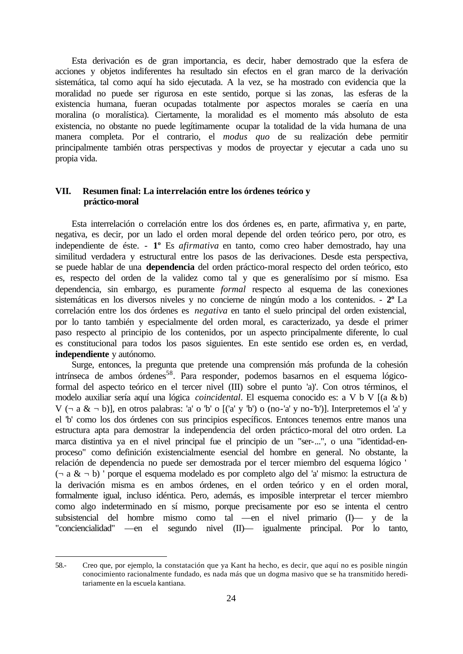<span id="page-23-0"></span>Esta derivación es de gran importancia, es decir, haber demostrado que la esfera de acciones y objetos indiferentes ha resultado sin efectos en el gran marco de la derivación sistemática, tal como aquí ha sido ejecutada. A la vez, se ha mostrado con evidencia que la moralidad no puede ser rigurosa en este sentido, porque si las zonas, las esferas de la existencia humana, fueran ocupadas totalmente por aspectos morales se caería en una moralina (o moralística). Ciertamente, la moralidad es el momento más absoluto de esta existencia, no obstante no puede legítimamente ocupar la totalidad de la vida humana de una manera completa. Por el contrario, el *modus quo* de su realización debe permitir principalmente también otras perspectivas y modos de proyectar y ejecutar a cada uno su propia vida.

# **VII. Resumen final: La interrelación entre los órdenes teórico y práctico-moral**

Esta interrelación o correlación entre los dos órdenes es, en parte, afirmativa y, en parte, negativa, es decir, por un lado el orden moral depende del orden teórico pero, por otro, es independiente de éste. - **1º** Es *afirmativa* en tanto, como creo haber demostrado, hay una similitud verdadera y estructural entre los pasos de las derivaciones. Desde esta perspectiva, se puede hablar de una **dependencia** del orden práctico-moral respecto del orden teórico, esto es, respecto del orden de la validez como tal y que es generalísimo por sí mismo. Esa dependencia, sin embargo, es puramente *formal* respecto al esquema de las conexiones sistemáticas en los diversos niveles y no concierne de ningún modo a los contenidos. - **2º** La correlación entre los dos órdenes es *negativa* en tanto el suelo principal del orden existencial, por lo tanto también y especialmente del orden moral, es caracterizado, ya desde el primer paso respecto al principio de los contenidos, por un aspecto principalmente diferente, lo cual es constitucional para todos los pasos siguientes. En este sentido ese orden es, en verdad, **independiente** y autónomo.

Surge, entonces, la pregunta que pretende una comprensión más profunda de la cohesión intrínseca de ambos órdenes<sup>58</sup>. Para responder, podemos basarnos en el esquema lógicoformal del aspecto teórico en el tercer nivel (III) sobre el punto 'a)'. Con otros términos, el modelo auxiliar sería aquí una lógica *coincidental*. El esquema conocido es: a V b V [(a & b)  $V$  ( $\neg$  a  $\& \neg$  b)], en otros palabras: 'a' o 'b' o [('a' y 'b') o (no-'a' y no-'b')]. Interpretemos el 'a' y el 'b' como los dos órdenes con sus principios específicos. Entonces tenemos entre manos una estructura apta para demostrar la independencia del orden práctico-moral del otro orden. La marca distintiva ya en el nivel principal fue el principio de un "ser-...", o una "identidad-enproceso" como definición existencialmente esencial del hombre en general. No obstante, la relación de dependencia no puede ser demostrada por el tercer miembro del esquema lógico '  $(\neg a \& \neg b)$  ' porque el esquema modelado es por completo algo del 'a' mismo: la estructura de la derivación misma es en ambos órdenes, en el orden teórico y en el orden moral, formalmente igual, incluso idéntica. Pero, además, es imposible interpretar el tercer miembro como algo indeterminado en sí mismo, porque precisamente por eso se intenta el centro subsistencial del hombre mismo como tal —en el nivel primario (I)— y de la "conciencialidad" —en el segundo nivel (II)— igualmente principal. Por lo tanto,

<sup>58.-</sup> Creo que, por ejemplo, la constatación que ya Kant ha hecho, es decir, que aquí no es posible ningún conocimiento racionalmente fundado, es nada más que un dogma masivo que se ha transmitido hereditariamente en la escuela kantiana.